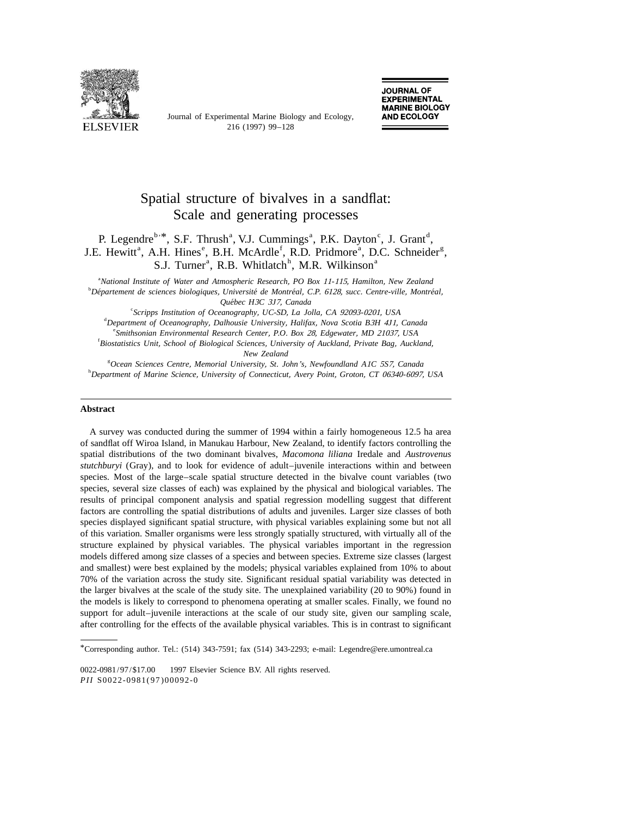

Journal of Experimental Marine Biology and Ecology,

## Spatial structure of bivalves in a sandflat: Scale and generating processes

# P. Legendre <sup>b, \*</sup>, S.F. Thrush<sup>a</sup>, V.J. Cummings<sup>a</sup>, P.K. Dayton<sup>c</sup>, J. Grant<sup>d</sup>, J.E. Hewitt<sup>a</sup>, A.H. Hines<sup>e</sup>, B.H. McArdle<sup>f</sup>, R.D. Pridmore<sup>a</sup>, D.C. Schneider<sup>g</sup>, S.J. Turner<sup>a</sup>, R.B. Whitlatch<sup>h</sup>, M.R. Wilkinson<sup>a</sup>

a *National Institute of Water and Atmospheric Research*, *PO Box* <sup>11</sup>-115, *Hamilton*, *New Zealand* b *Departement de sciences biologiques ´ ´´ ´* , *Universite de Montreal*, *C*.*P*. 6128, *succ*. *Centre*-*ville*, *Montreal*, *Quebec H ´* <sup>3</sup>*C* <sup>3</sup>*J*7, *Canada*

c *Scripps Institution of Oceanography*, *UC*-*SD*, *La Jolla*, *CA* <sup>92093</sup>-0201, *USA*

d *Department of Oceanography*, *Dalhousie University*, *Halifax*, *Nova Scotia B*3*H* <sup>4</sup>*J*1, *Canada*

e *Smithsonian Environmental Research Center*, *P*.*O*. *Box* 28, *Edgewater*, *MD* 21037, *USA*

f *Biostatistics Unit*, *School of Biological Sciences*, *University of Auckland*, *Private Bag*, *Auckland*, *New Zealand*

g *Ocean Sciences Centre*, *Memorial University*, *St*. *John*'*s*, *Newfoundland A*1*C* <sup>5</sup>*S*7, *Canada* h *Department of Marine Science*, *University of Connecticut*, *Avery Point*, *Groton*, *CT* <sup>06340</sup>-6097, *USA*

#### **Abstract**

A survey was conducted during the summer of 1994 within a fairly homogeneous 12.5 ha area of sandflat off Wiroa Island, in Manukau Harbour, New Zealand, to identify factors controlling the spatial distributions of the two dominant bivalves, *Macomona liliana* Iredale and *Austrovenus stutchburyi* (Gray), and to look for evidence of adult–juvenile interactions within and between species. Most of the large–scale spatial structure detected in the bivalve count variables (two species, several size classes of each) was explained by the physical and biological variables. The results of principal component analysis and spatial regression modelling suggest that different factors are controlling the spatial distributions of adults and juveniles. Larger size classes of both species displayed significant spatial structure, with physical variables explaining some but not all of this variation. Smaller organisms were less strongly spatially structured, with virtually all of the structure explained by physical variables. The physical variables important in the regression models differed among size classes of a species and between species. Extreme size classes (largest and smallest) were best explained by the models; physical variables explained from 10% to about 70% of the variation across the study site. Significant residual spatial variability was detected in the larger bivalves at the scale of the study site. The unexplained variability (20 to 90%) found in the models is likely to correspond to phenomena operating at smaller scales. Finally, we found no support for adult–juvenile interactions at the scale of our study site, given our sampling scale, after controlling for the effects of the available physical variables. This is in contrast to significant

<sup>\*</sup>Corresponding author. Tel.: (514) 343-7591; fax (514) 343-2293; e-mail: Legendre@ere.umontreal.ca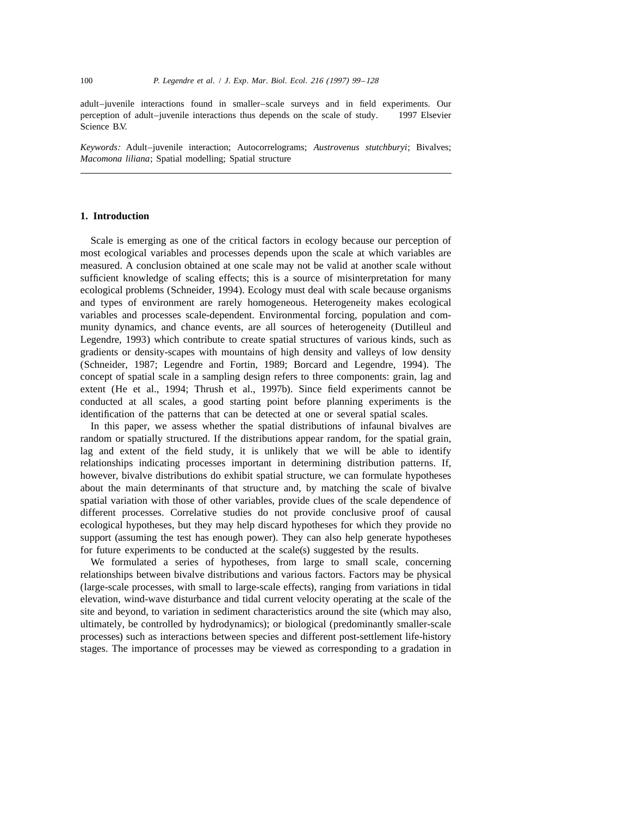adult–juvenile interactions found in smaller–scale surveys and in field experiments. Our perception of adult–juvenile interactions thus depends on the scale of study. 1997 Elsevier Science B.V.

*Keywords*: Adult–juvenile interaction; Autocorrelograms; *Austrovenus stutchburyi*; Bivalves; *Macomona liliana*; Spatial modelling; Spatial structure

## **1. Introduction**

Scale is emerging as one of the critical factors in ecology because our perception of most ecological variables and processes depends upon the scale at which variables are measured. A conclusion obtained at one scale may not be valid at another scale without sufficient knowledge of scaling effects; this is a source of misinterpretation for many ecological problems (Schneider, 1994). Ecology must deal with scale because organisms and types of environment are rarely homogeneous. Heterogeneity makes ecological variables and processes scale-dependent. Environmental forcing, population and community dynamics, and chance events, are all sources of heterogeneity (Dutilleul and Legendre, 1993) which contribute to create spatial structures of various kinds, such as gradients or density-scapes with mountains of high density and valleys of low density (Schneider, 1987; Legendre and Fortin, 1989; Borcard and Legendre, 1994). The concept of spatial scale in a sampling design refers to three components: grain, lag and extent (He et al., 1994; Thrush et al., 1997b). Since field experiments cannot be conducted at all scales, a good starting point before planning experiments is the identification of the patterns that can be detected at one or several spatial scales.

In this paper, we assess whether the spatial distributions of infaunal bivalves are random or spatially structured. If the distributions appear random, for the spatial grain, lag and extent of the field study, it is unlikely that we will be able to identify relationships indicating processes important in determining distribution patterns. If, however, bivalve distributions do exhibit spatial structure, we can formulate hypotheses about the main determinants of that structure and, by matching the scale of bivalve spatial variation with those of other variables, provide clues of the scale dependence of different processes. Correlative studies do not provide conclusive proof of causal ecological hypotheses, but they may help discard hypotheses for which they provide no support (assuming the test has enough power). They can also help generate hypotheses for future experiments to be conducted at the scale(s) suggested by the results.

We formulated a series of hypotheses, from large to small scale, concerning relationships between bivalve distributions and various factors. Factors may be physical (large-scale processes, with small to large-scale effects), ranging from variations in tidal elevation, wind-wave disturbance and tidal current velocity operating at the scale of the site and beyond, to variation in sediment characteristics around the site (which may also, ultimately, be controlled by hydrodynamics); or biological (predominantly smaller-scale processes) such as interactions between species and different post-settlement life-history stages. The importance of processes may be viewed as corresponding to a gradation in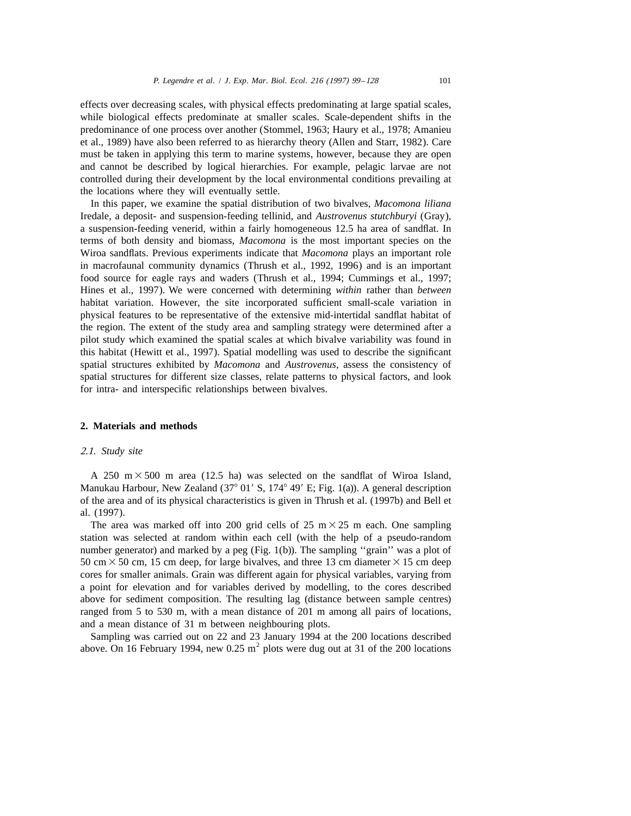effects over decreasing scales, with physical effects predominating at large spatial scales, while biological effects predominate at smaller scales. Scale-dependent shifts in the predominance of one process over another (Stommel, 1963; Haury et al., 1978; Amanieu et al., 1989) have also been referred to as hierarchy theory (Allen and Starr, 1982). Care must be taken in applying this term to marine systems, however, because they are open and cannot be described by logical hierarchies. For example, pelagic larvae are not controlled during their development by the local environmental conditions prevailing at the locations where they will eventually settle.

In this paper, we examine the spatial distribution of two bivalves, *Macomona liliana* Iredale, a deposit- and suspension-feeding tellinid, and *Austrovenus stutchburyi* (Gray), a suspension-feeding venerid, within a fairly homogeneous 12.5 ha area of sandflat. In terms of both density and biomass, *Macomona* is the most important species on the Wiroa sandflats. Previous experiments indicate that *Macomona* plays an important role in macrofaunal community dynamics (Thrush et al., 1992, 1996) and is an important food source for eagle rays and waders (Thrush et al., 1994; Cummings et al., 1997; Hines et al., 1997). We were concerned with determining *within* rather than *between* habitat variation. However, the site incorporated sufficient small-scale variation in physical features to be representative of the extensive mid-intertidal sandflat habitat of the region. The extent of the study area and sampling strategy were determined after a pilot study which examined the spatial scales at which bivalve variability was found in this habitat (Hewitt et al., 1997). Spatial modelling was used to describe the significant spatial structures exhibited by *Macomona* and *Austrovenus*, assess the consistency of spatial structures for different size classes, relate patterns to physical factors, and look for intra- and interspecific relationships between bivalves.

#### **2. Materials and methods**

#### 2.1. *Study site*

A 250 m  $\times$  500 m area (12.5 ha) was selected on the sandflat of Wiroa Island, Manukau Harbour, New Zealand (37 $^{\circ}$  01' S, 174 $^{\circ}$  49' E; Fig. 1(a)). A general description of the area and of its physical characteristics is given in Thrush et al. (1997b) and Bell et al. (1997).

The area was marked off into 200 grid cells of 25 m $\times$  25 m each. One sampling station was selected at random within each cell (with the help of a pseudo-random number generator) and marked by a peg (Fig. 1(b)). The sampling "grain" was a plot of 50 cm  $\times$  50 cm, 15 cm deep, for large bivalves, and three 13 cm diameter  $\times$  15 cm deep cores for smaller animals. Grain was different again for physical variables, varying from a point for elevation and for variables derived by modelling, to the cores described above for sediment composition. The resulting lag (distance between sample centres) ranged from 5 to 530 m, with a mean distance of 201 m among all pairs of locations, and a mean distance of 31 m between neighbouring plots.

Sampling was carried out on 22 and 23 January 1994 at the 200 locations described above. On 16 February 1994, new 0.25 m<sup>2</sup> plots were dug out at 31 of the 200 locations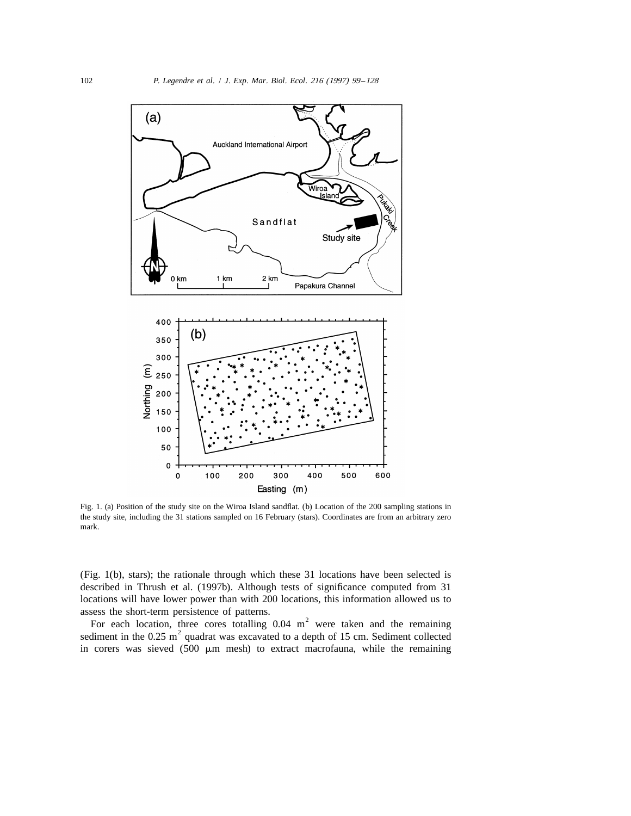

Fig. 1. (a) Position of the study site on the Wiroa Island sandflat. (b) Location of the 200 sampling stations in the study site, including the 31 stations sampled on 16 February (stars). Coordinates are from an arbitrary zero mark.

(Fig. 1(b), stars); the rationale through which these 31 locations have been selected is described in Thrush et al. (1997b). Although tests of significance computed from 31 locations will have lower power than with 200 locations, this information allowed us to

assess the short-term persistence of patterns.<br>
2 For each location, three cores totalling 0.04 m<sup>2</sup> were taken and the remaining sediment in the 0.25 m<sup>2</sup> quadrat was excavated to a depth of 15 cm. Sediment collected in corers was sieved  $(500 \mu m$  mesh) to extract macrofauna, while the remaining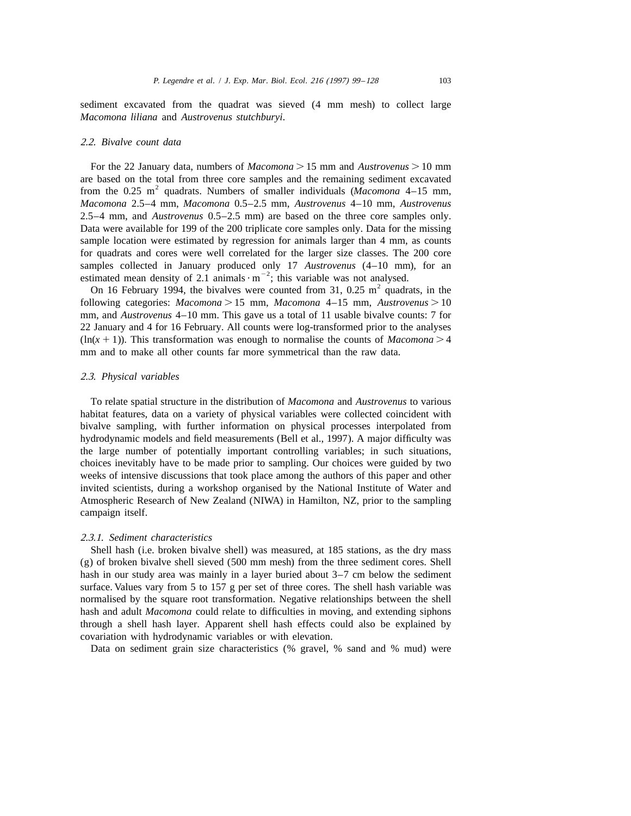sediment excavated from the quadrat was sieved (4 mm mesh) to collect large *Macomona liliana* and *Austrovenus stutchburyi*.

#### 2.2. *Bivalve count data*

For the 22 January data, numbers of  $Macomona \geq 15$  mm and  $Austrovenus \geq 10$  mm are based on the total from three core samples and the remaining sediment excavated from the  $0.25 \text{ m}^2$  quadrats. Numbers of smaller individuals (*Macomona* 4–15 mm, *Macomona* 2.5–4 mm, *Macomona* 0.5–2.5 mm, *Austrovenus* 4–10 mm, *Austrovenus* 2.5–4 mm, and *Austrovenus* 0.5–2.5 mm) are based on the three core samples only. Data were available for 199 of the 200 triplicate core samples only. Data for the missing sample location were estimated by regression for animals larger than 4 mm, as counts for quadrats and cores were well correlated for the larger size classes. The 200 core samples collected in January produced only 17 Austrovenus (4–10 mm), for an estimated mean density of 2.1 animals  $\cdot$  m<sup>-2</sup>; this variable was not analysed.<br>On 16 February 1994, the bivalves were counted from 31, 0.25 m<sup></sup>

following categories:  $Macomona \geq 15$  mm,  $Macomona$  4–15 mm,  $Austrovenus \geq 10$ mm, and *Austrovenus* 4–10 mm. This gave us a total of 11 usable bivalve counts: 7 for 22 January and 4 for 16 February. All counts were log-transformed prior to the analyses  $(ln(x + 1))$ . This transformation was enough to normalise the counts of *Macomona* > 4 mm and to make all other counts far more symmetrical than the raw data.

#### 2.3. *Physical variables*

To relate spatial structure in the distribution of *Macomona* and *Austrovenus* to various habitat features, data on a variety of physical variables were collected coincident with bivalve sampling, with further information on physical processes interpolated from hydrodynamic models and field measurements (Bell et al., 1997). A major difficulty was the large number of potentially important controlling variables; in such situations, choices inevitably have to be made prior to sampling. Our choices were guided by two weeks of intensive discussions that took place among the authors of this paper and other invited scientists, during a workshop organised by the National Institute of Water and Atmospheric Research of New Zealand (NIWA) in Hamilton, NZ, prior to the sampling campaign itself.

#### 2.3.1. *Sediment characteristics*

Shell hash (i.e. broken bivalve shell) was measured, at 185 stations, as the dry mass (g) of broken bivalve shell sieved (500 mm mesh) from the three sediment cores. Shell hash in our study area was mainly in a layer buried about 3–7 cm below the sediment surface. Values vary from 5 to 157 g per set of three cores. The shell hash variable was normalised by the square root transformation. Negative relationships between the shell hash and adult *Macomona* could relate to difficulties in moving, and extending siphons through a shell hash layer. Apparent shell hash effects could also be explained by covariation with hydrodynamic variables or with elevation.

Data on sediment grain size characteristics (% gravel, % sand and % mud) were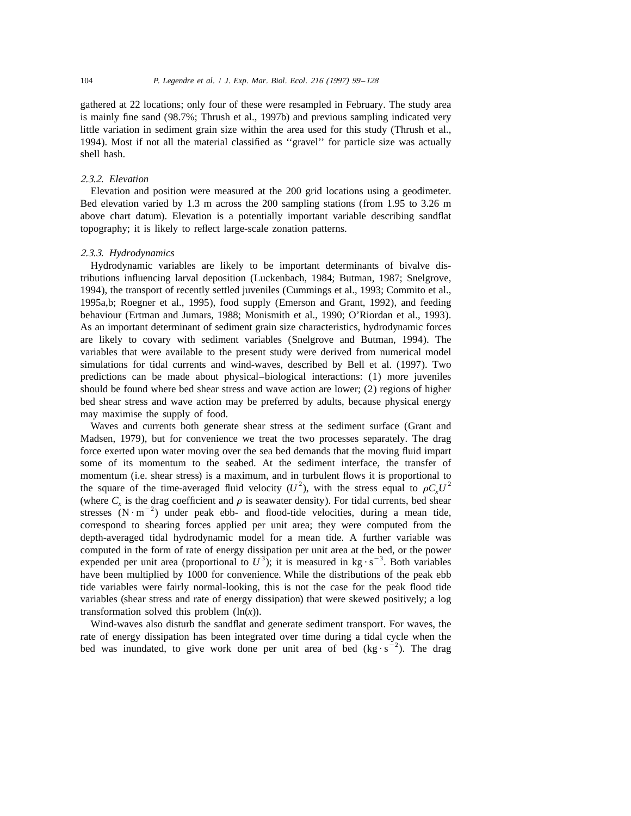gathered at 22 locations; only four of these were resampled in February. The study area is mainly fine sand (98.7%; Thrush et al., 1997b) and previous sampling indicated very little variation in sediment grain size within the area used for this study (Thrush et al., 1994). Most if not all the material classified as ''gravel'' for particle size was actually shell hash.

## 2.3.2. *Elevation*

Elevation and position were measured at the 200 grid locations using a geodimeter. Bed elevation varied by 1.3 m across the 200 sampling stations (from 1.95 to 3.26 m above chart datum). Elevation is a potentially important variable describing sandflat topography; it is likely to reflect large-scale zonation patterns.

#### 2.3.3. *Hydrodynamics*

Hydrodynamic variables are likely to be important determinants of bivalve distributions influencing larval deposition (Luckenbach, 1984; Butman, 1987; Snelgrove, 1994), the transport of recently settled juveniles (Cummings et al., 1993; Commito et al., 1995a,b; Roegner et al., 1995), food supply (Emerson and Grant, 1992), and feeding behaviour (Ertman and Jumars, 1988; Monismith et al., 1990; O'Riordan et al., 1993). As an important determinant of sediment grain size characteristics, hydrodynamic forces are likely to covary with sediment variables (Snelgrove and Butman, 1994). The variables that were available to the present study were derived from numerical model simulations for tidal currents and wind-waves, described by Bell et al. (1997). Two predictions can be made about physical–biological interactions: (1) more juveniles should be found where bed shear stress and wave action are lower; (2) regions of higher bed shear stress and wave action may be preferred by adults, because physical energy may maximise the supply of food.

Waves and currents both generate shear stress at the sediment surface (Grant and Madsen, 1979), but for convenience we treat the two processes separately. The drag force exerted upon water moving over the sea bed demands that the moving fluid impart some of its momentum to the seabed. At the sediment interface, the transfer of momentum (i.e. shear stress) is a maximum, and in turbulent flows it is proportional to the square of the time-averaged fluid velocity ( $U^2$ ), with the stress equal to  $\rho C_x U^2$  (where  $C_x$  is the drag coefficient and  $\r$ stresses  $(N \cdot m^{-2})$  under peak ebb- and flood-tide velocities, during a mean tide, correspond to shearing forces applied per unit area; they were computed from the depth-averaged tidal hydrodynamic model for a mean tide. A further variable was computed in the form of rate of energy dissipation per unit area at the bed, or the power expended per unit area (proportional to  $U^3$ ); it is measured in kg  $\cdot$  s<sup>-3</sup>. Both variables have been multiplied by 1000 for convenience. While the distributions of the peak ebb tide variables were fairly normal-looking, this is not the case for the peak flood tide variables (shear stress and rate of energy dissipation) that were skewed positively; a log transformation solved this problem (ln(*x*)).

Wind-waves also disturb the sandflat and generate sediment transport. For waves, the rate of energy dissipation has been integrated over time during a tidal cycle when the bed was inundated, to give work done per unit area of bed (kg $\cdot$ s<sup>-2</sup>). The drag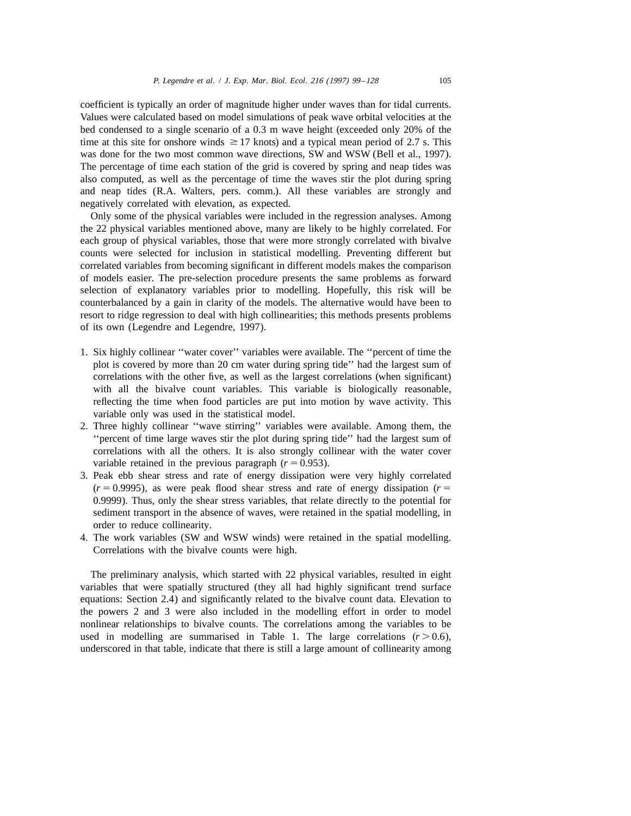coefficient is typically an order of magnitude higher under waves than for tidal currents. Values were calculated based on model simulations of peak wave orbital velocities at the bed condensed to a single scenario of a 0.3 m wave height (exceeded only 20% of the time at this site for onshore winds  $\geq 17$  knots) and a typical mean period of 2.7 s. This was done for the two most common wave directions, SW and WSW (Bell et al., 1997). The percentage of time each station of the grid is covered by spring and neap tides was also computed, as well as the percentage of time the waves stir the plot during spring and neap tides (R.A. Walters, pers. comm.). All these variables are strongly and negatively correlated with elevation, as expected.

Only some of the physical variables were included in the regression analyses. Among the 22 physical variables mentioned above, many are likely to be highly correlated. For each group of physical variables, those that were more strongly correlated with bivalve counts were selected for inclusion in statistical modelling. Preventing different but correlated variables from becoming significant in different models makes the comparison of models easier. The pre-selection procedure presents the same problems as forward selection of explanatory variables prior to modelling. Hopefully, this risk will be counterbalanced by a gain in clarity of the models. The alternative would have been to resort to ridge regression to deal with high collinearities; this methods presents problems of its own (Legendre and Legendre, 1997).

- 1. Six highly collinear ''water cover'' variables were available. The ''percent of time the plot is covered by more than 20 cm water during spring tide'' had the largest sum of correlations with the other five, as well as the largest correlations (when significant) with all the bivalve count variables. This variable is biologically reasonable, reflecting the time when food particles are put into motion by wave activity. This variable only was used in the statistical model.
- 2. Three highly collinear ''wave stirring'' variables were available. Among them, the "percent of time large waves stir the plot during spring tide" had the largest sum of correlations with all the others. It is also strongly collinear with the water cover variable retained in the previous paragraph  $(r = 0.953)$ .
- 3. Peak ebb shear stress and rate of energy dissipation were very highly correlated  $(r = 0.9995)$ , as were peak flood shear stress and rate of energy dissipation  $(r = 0.9995)$ 0.9999). Thus, only the shear stress variables, that relate directly to the potential for sediment transport in the absence of waves, were retained in the spatial modelling, in order to reduce collinearity.
- 4. The work variables (SW and WSW winds) were retained in the spatial modelling. Correlations with the bivalve counts were high.

The preliminary analysis, which started with 22 physical variables, resulted in eight variables that were spatially structured (they all had highly significant trend surface equations: Section 2.4) and significantly related to the bivalve count data. Elevation to the powers 2 and 3 were also included in the modelling effort in order to model nonlinear relationships to bivalve counts. The correlations among the variables to be used in modelling are summarised in Table 1. The large correlations  $(r > 0.6)$ , underscored in that table, indicate that there is still a large amount of collinearity among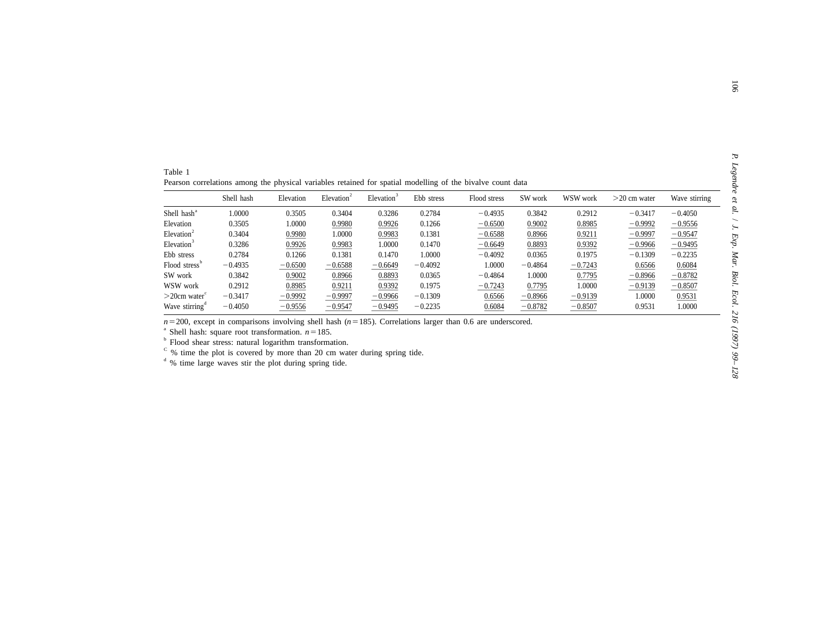| Table 1 |                                                                                                            |  |  |  |  |  |  |  |
|---------|------------------------------------------------------------------------------------------------------------|--|--|--|--|--|--|--|
|         | Pearson correlations among the physical variables retained for spatial modelling of the bivalve count data |  |  |  |  |  |  |  |

|                            | Shell hash | Elevation | Elevation <sup>*</sup> | Elevation | Ebb stress | Flood stress | SW work   | WSW work  | $>20$ cm water | Wave stirring |
|----------------------------|------------|-----------|------------------------|-----------|------------|--------------|-----------|-----------|----------------|---------------|
| Shell hash <sup>a</sup>    | 1.0000     | 0.3505    | 0.3404                 | 0.3286    | 0.2784     | $-0.4935$    | 0.3842    | 0.2912    | $-0.3417$      | $-0.4050$     |
| Elevation                  | 0.3505     | 1.0000    | 0.9980                 | 0.9926    | 0.1266     | $-0.6500$    | 0.9002    | 0.8985    | $-0.9992$      | $-0.9556$     |
| Elevation <sup>2</sup>     | 0.3404     | 0.9980    | 1.0000                 | 0.9983    | 0.1381     | $-0.6588$    | 0.8966    | 0.9211    | $-0.9997$      | $-0.9547$     |
| Elevation                  | 0.3286     | 0.9926    | 0.9983                 | 1.0000    | 0.1470     | $-0.6649$    | 0.8893    | 0.9392    | $-0.9966$      | $-0.9495$     |
| Ebb stress                 | 0.2784     | 0.1266    | 0.1381                 | 0.1470    | 1.0000     | $-0.4092$    | 0.0365    | 0.1975    | $-0.1309$      | $-0.2235$     |
| Flood stress <sup>t</sup>  | $-0.4935$  | $-0.6500$ | $-0.6588$              | $-0.6649$ | $-0.4092$  | 1.0000       | $-0.4864$ | $-0.7243$ | 0.6566         | 0.6084        |
| SW work                    | 0.3842     | 0.9002    | 0.8966                 | 0.8893    | 0.0365     | $-0.4864$    | 1.0000    | 0.7795    | $-0.8966$      | $-0.8782$     |
| WSW work                   | 0.2912     | 0.8985    | 0.9211                 | 0.9392    | 0.1975     | $-0.7243$    | 0.7795    | 1.0000    | $-0.9139$      | $-0.8507$     |
| $>$ 20cm water $\degree$   | $-0.3417$  | $-0.9992$ | $-0.9997$              | $-0.9966$ | $-0.1309$  | 0.6566       | $-0.8966$ | $-0.9139$ | 1.0000         | 0.9531        |
| Wave stirring <sup>d</sup> | $-0.4050$  | $-0.9556$ | $-0.9547$              | $-0.9495$ | $-0.2235$  | 0.6084       | $-0.8782$ | $-0.8507$ | 0.9531         | 1.0000        |

 $n=200$ , except in comparisons involving shell hash ( $n=185$ ). Correlations larger than 0.6 are underscored.

<sup>a</sup> Shell hash: square root transformation. *n* = 185.<br><sup>b</sup> Flood shear stress: natural logarithm transformation.<br><sup>C</sup> % time the plot is covered by more than 20 cm water during spring tide.

<sup>d</sup> % time large waves stir the plot during spring tide.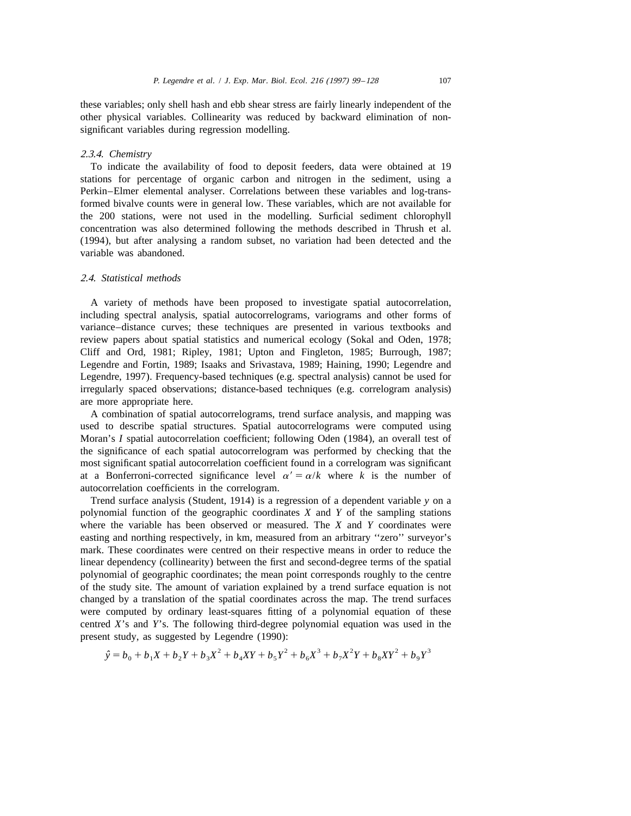these variables; only shell hash and ebb shear stress are fairly linearly independent of the other physical variables. Collinearity was reduced by backward elimination of nonsignificant variables during regression modelling.

#### 2.3.4. *Chemistry*

To indicate the availability of food to deposit feeders, data were obtained at 19 stations for percentage of organic carbon and nitrogen in the sediment, using a Perkin–Elmer elemental analyser. Correlations between these variables and log-transformed bivalve counts were in general low. These variables, which are not available for the 200 stations, were not used in the modelling. Surficial sediment chlorophyll concentration was also determined following the methods described in Thrush et al. (1994), but after analysing a random subset, no variation had been detected and the variable was abandoned.

#### 2.4. *Statistical methods*

A variety of methods have been proposed to investigate spatial autocorrelation, including spectral analysis, spatial autocorrelograms, variograms and other forms of variance–distance curves; these techniques are presented in various textbooks and review papers about spatial statistics and numerical ecology (Sokal and Oden, 1978; Cliff and Ord, 1981; Ripley, 1981; Upton and Fingleton, 1985; Burrough, 1987; Legendre and Fortin, 1989; Isaaks and Srivastava, 1989; Haining, 1990; Legendre and Legendre, 1997). Frequency-based techniques (e.g. spectral analysis) cannot be used for irregularly spaced observations; distance-based techniques (e.g. correlogram analysis) are more appropriate here.

A combination of spatial autocorrelograms, trend surface analysis, and mapping was used to describe spatial structures. Spatial autocorrelograms were computed using Moran's *I* spatial autocorrelation coefficient; following Oden (1984), an overall test of the significance of each spatial autocorrelogram was performed by checking that the most significant spatial autocorrelation coefficient found in a correlogram was significant at a Bonferroni-corrected significance level  $\alpha' = \alpha/k$  where *k* is the number of autocorrelation coefficients in the correlogram.

Trend surface analysis (Student, 1914) is a regression of a dependent variable *y* on a polynomial function of the geographic coordinates *X* and *Y* of the sampling stations where the variable has been observed or measured. The *X* and *Y* coordinates were easting and northing respectively, in km, measured from an arbitrary ''zero'' surveyor's mark. These coordinates were centred on their respective means in order to reduce the linear dependency (collinearity) between the first and second-degree terms of the spatial polynomial of geographic coordinates; the mean point corresponds roughly to the centre of the study site. The amount of variation explained by a trend surface equation is not changed by a translation of the spatial coordinates across the map. The trend surfaces were computed by ordinary least-squares fitting of a polynomial equation of these centred *X*'s and *Y*'s. The following third-degree polynomial equation was used in the present study, as suggested by Legendre (1990):

$$
\hat{y} = b_0 + b_1 X + b_2 Y + b_3 X^2 + b_4 XY + b_5 Y^2 + b_6 X^3 + b_7 X^2 Y + b_8 XY^2 + b_9 Y^3
$$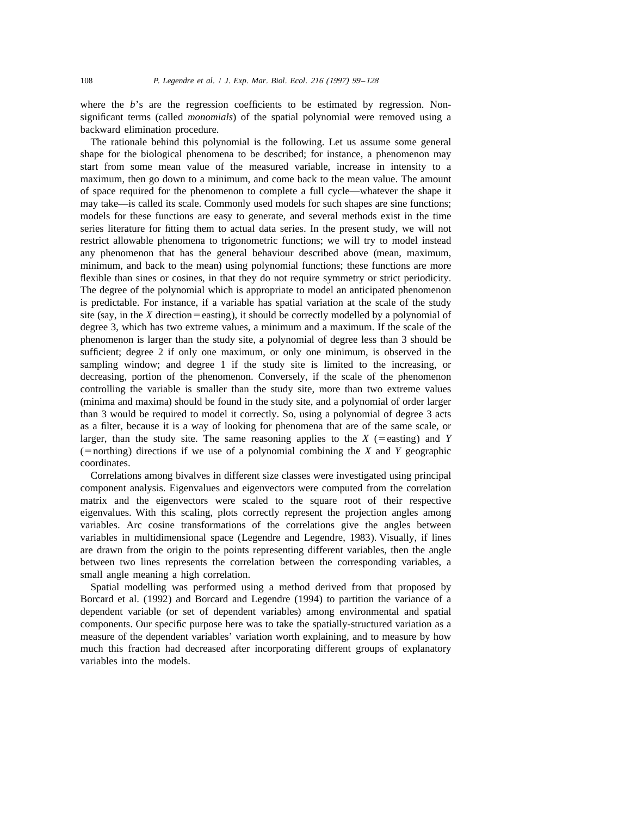where the  $b$ 's are the regression coefficients to be estimated by regression. Nonsignificant terms (called *monomials*) of the spatial polynomial were removed using a backward elimination procedure.

The rationale behind this polynomial is the following. Let us assume some general shape for the biological phenomena to be described; for instance, a phenomenon may start from some mean value of the measured variable, increase in intensity to a maximum, then go down to a minimum, and come back to the mean value. The amount of space required for the phenomenon to complete a full cycle—whatever the shape it may take—is called its scale. Commonly used models for such shapes are sine functions; models for these functions are easy to generate, and several methods exist in the time series literature for fitting them to actual data series. In the present study, we will not restrict allowable phenomena to trigonometric functions; we will try to model instead any phenomenon that has the general behaviour described above (mean, maximum, minimum, and back to the mean) using polynomial functions; these functions are more flexible than sines or cosines, in that they do not require symmetry or strict periodicity. The degree of the polynomial which is appropriate to model an anticipated phenomenon is predictable. For instance, if a variable has spatial variation at the scale of the study site (say, in the *X* direction = easting), it should be correctly modelled by a polynomial of degree 3, which has two extreme values, a minimum and a maximum. If the scale of the phenomenon is larger than the study site, a polynomial of degree less than 3 should be sufficient; degree 2 if only one maximum, or only one minimum, is observed in the sampling window; and degree 1 if the study site is limited to the increasing, or decreasing, portion of the phenomenon. Conversely, if the scale of the phenomenon controlling the variable is smaller than the study site, more than two extreme values (minima and maxima) should be found in the study site, and a polynomial of order larger than 3 would be required to model it correctly. So, using a polynomial of degree 3 acts as a filter, because it is a way of looking for phenomena that are of the same scale, or larger, than the study site. The same reasoning applies to the  $X$  (=easting) and  $Y$  $(5.000)$  enorthing) directions if we use of a polynomial combining the *X* and *Y* geographic coordinates.

Correlations among bivalves in different size classes were investigated using principal component analysis. Eigenvalues and eigenvectors were computed from the correlation matrix and the eigenvectors were scaled to the square root of their respective eigenvalues. With this scaling, plots correctly represent the projection angles among variables. Arc cosine transformations of the correlations give the angles between variables in multidimensional space (Legendre and Legendre, 1983). Visually, if lines are drawn from the origin to the points representing different variables, then the angle between two lines represents the correlation between the corresponding variables, a small angle meaning a high correlation.

Spatial modelling was performed using a method derived from that proposed by Borcard et al. (1992) and Borcard and Legendre (1994) to partition the variance of a dependent variable (or set of dependent variables) among environmental and spatial components. Our specific purpose here was to take the spatially-structured variation as a measure of the dependent variables' variation worth explaining, and to measure by how much this fraction had decreased after incorporating different groups of explanatory variables into the models.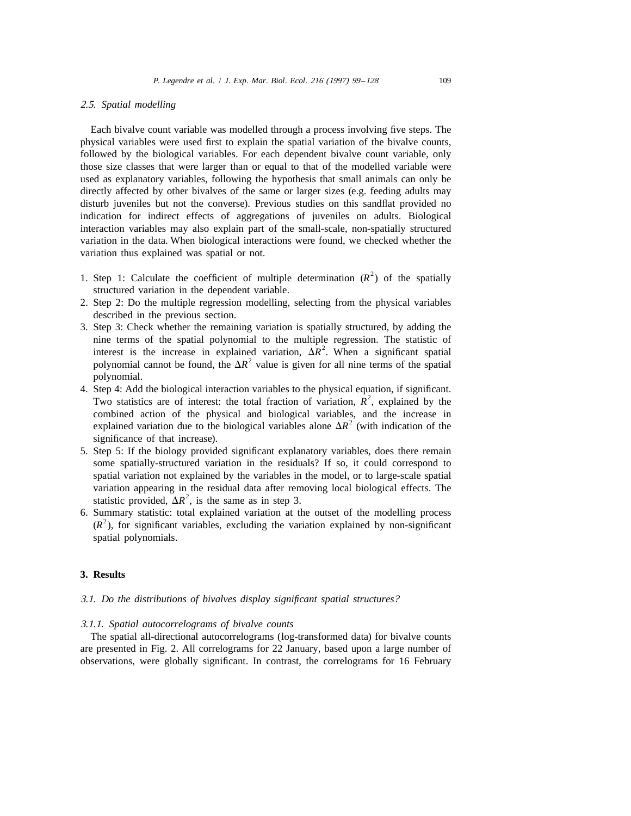#### 2.5. *Spatial modelling*

Each bivalve count variable was modelled through a process involving five steps. The physical variables were used first to explain the spatial variation of the bivalve counts, followed by the biological variables. For each dependent bivalve count variable, only those size classes that were larger than or equal to that of the modelled variable were used as explanatory variables, following the hypothesis that small animals can only be directly affected by other bivalves of the same or larger sizes (e.g. feeding adults may disturb juveniles but not the converse). Previous studies on this sandflat provided no indication for indirect effects of aggregations of juveniles on adults. Biological interaction variables may also explain part of the small-scale, non-spatially structured variation in the data. When biological interactions were found, we checked whether the variation thus explained was spatial or not.

- 1. Step 1: Calculate the coefficient of multiple determination  $(R^2)$  of the spatially structured variation in the dependent variable.
- 2. Step 2: Do the multiple regression modelling, selecting from the physical variables described in the previous section.
- 3. Step 3: Check whether the remaining variation is spatially structured, by adding the nine terms of the spatial polynomial to the multiple regression. The statistic of interest is the increase in explained variation,  $\Delta R^2$ . When a significant spatial polynomial cannot be found, the  $\Delta R^2$  value is given polynomial.
- 4. Step 4: Add the biological interaction variables to the physical equation, if significant. Two statistics are of interest: the total fraction of variation,  $R<sup>2</sup>$ , explained by the combined action of the physical and biological variables, and the increase in explained variation due to the biological variables alone  $\Delta R^2$  (with indication of the significance of that increase).
- 5. Step 5: If the biology provided significant explanatory variables, does there remain some spatially-structured variation in the residuals? If so, it could correspond to spatial variation not explained by the variables in the model, or to large-scale spatial variation appearing in the residual data after removing local biological effects. The statistic provided,  $\Delta R^2$ , is the same as in step 3.
- 6. Summary statistic: total explained variation at the outset of the modelling process  $(R^2)$ , for significant variables, excluding the variation explained by non-significant spatial polynomials.

## **3. Results**

#### 3.1. *Do the distributions of bivalves display significant spatial structures*?

## 3.1.1. *Spatial autocorrelograms of bivalve counts*

The spatial all-directional autocorrelograms (log-transformed data) for bivalve counts are presented in Fig. 2. All correlograms for 22 January, based upon a large number of observations, were globally significant. In contrast, the correlograms for 16 February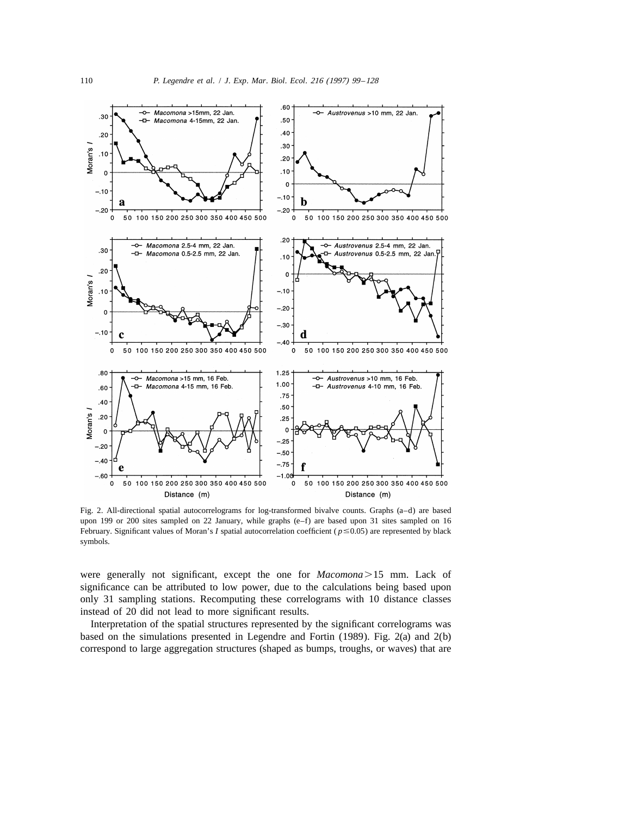

Fig. 2. All-directional spatial autocorrelograms for log-transformed bivalve counts. Graphs (a–d) are based upon 199 or 200 sites sampled on 22 January, while graphs (e–f) are based upon 31 sites sampled on 16 February. Significant values of Moran's *I* spatial autocorrelation coefficient ( $p \le 0.05$ ) are represented by black symbols.

were generally not significant, except the one for *Macomona* > 15 mm. Lack of significance can be attributed to low power, due to the calculations being based upon only 31 sampling stations. Recomputing these correlograms with 10 distance classes instead of 20 did not lead to more significant results.

Interpretation of the spatial structures represented by the significant correlograms was based on the simulations presented in Legendre and Fortin (1989). Fig. 2(a) and 2(b) correspond to large aggregation structures (shaped as bumps, troughs, or waves) that are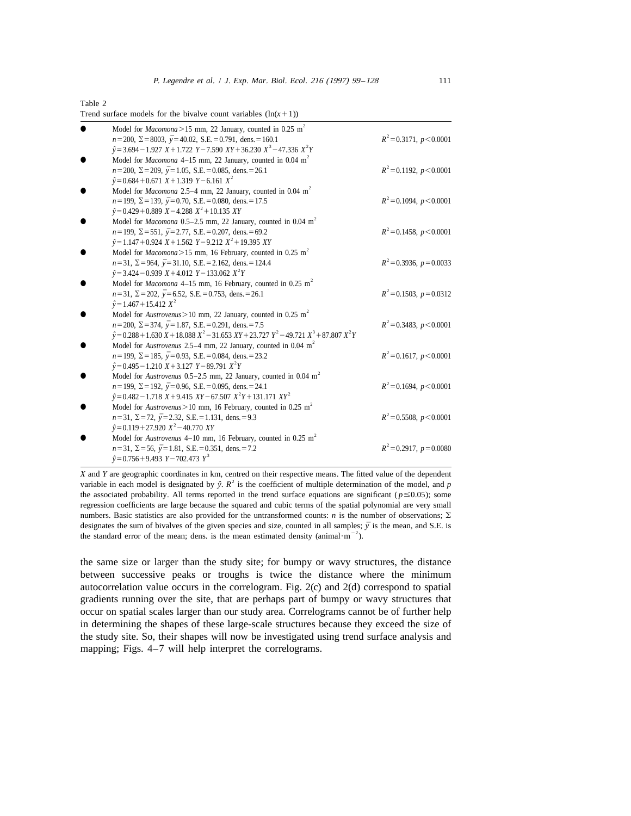|  | 216 (1997) 99–128 |  |  |
|--|-------------------|--|--|
|--|-------------------|--|--|

| Table 2 |  |  |  |                                                                    |  |
|---------|--|--|--|--------------------------------------------------------------------|--|
|         |  |  |  | Trend surface models for the bivalve count variables $(ln(x + 1))$ |  |

| Model for <i>Macomona</i> > 15 mm, 22 January, counted in 0.25 m <sup>2</sup>                        |                              |
|------------------------------------------------------------------------------------------------------|------------------------------|
| $n = 200$ , $\Sigma = 8003$ , $\bar{v} = 40.02$ , S.E. = 0.791, dens. = 160.1                        | $R^2$ =0.3171, p<0.0001      |
| $\hat{y} = 3.694 - 1.927 X + 1.722 Y - 7.590 XY + 36.230 X^3 - 47.336 X^2Y$                          |                              |
| Model for <i>Macomona</i> 4–15 mm, 22 January, counted in 0.04 m <sup>2</sup>                        |                              |
| $n = 200$ , $\Sigma = 209$ , $\bar{y} = 1.05$ , S.E. = 0.085, dens. = 26.1                           | $R^2$ =0.1192, $p$ <0.0001   |
| $\hat{y} = 0.684 + 0.671 X + 1.319 Y - 6.161 X^2$                                                    |                              |
| Model for <i>Macomona</i> 2.5–4 mm, 22 January, counted in 0.04 m <sup>2</sup>                       |                              |
| $n=199$ , $\Sigma = 139$ , $\bar{y}=0.70$ , S.E. = 0.080, dens. = 17.5                               | $R^2$ = 0.1094, $p$ < 0.0001 |
| $\hat{y} = 0.429 + 0.889 X - 4.288 X^2 + 10.135 XY$                                                  |                              |
| Model for <i>Macomona</i> 0.5–2.5 mm, 22 January, counted in 0.04 m <sup>2</sup>                     |                              |
| $n=199$ , $\Sigma$ = 551, $\bar{y}$ = 2.77, S.E. = 0.207, dens. = 69.2                               | $R^2$ =0.1458, p <0.0001     |
| $\hat{y} = 1.147 + 0.924 X + 1.562 Y - 9.212 X^2 + 19.395 XY$                                        |                              |
| Model for <i>Macomona</i> > 15 mm, 16 February, counted in 0.25 m <sup>2</sup>                       |                              |
| $n=31$ , $\Sigma = 964$ , $\bar{v} = 31.10$ , S.E. = 2.162, dens. = 124.4                            | $R^2$ = 0.3936, p = 0.0033   |
| $\hat{v} = 3.424 - 0.939 X + 4.012 Y - 133.062 X^2Y$                                                 |                              |
| Model for Macomona 4-15 mm, 16 February, counted in 0.25 m <sup>2</sup>                              |                              |
| $n=31$ , $\Sigma = 202$ , $\bar{y} = 6.52$ , S.E. = 0.753, dens. = 26.1                              | $R^2$ = 0.1503, p = 0.0312   |
| $\hat{v} = 1.467 + 15.412 X^2$                                                                       |                              |
| Model for Austrovenus > 10 mm, 22 January, counted in 0.25 m <sup>2</sup>                            |                              |
| $n = 200$ , $\Sigma = 374$ , $\bar{y} = 1.87$ , S.E. = 0.291, dens. = 7.5                            | $R^2$ = 0.3483, p < 0.0001   |
| $\hat{y}$ = 0.288 + 1.630 X + 18.088 $X^2$ – 31.653 XY + 23.727 $Y^2$ – 49.721 $X^3$ + 87.807 $X^2Y$ |                              |
| Model for Austrovenus 2.5–4 mm, 22 January, counted in 0.04 m <sup>2</sup>                           |                              |
| $n=199$ , $\Sigma = 185$ , $\bar{y}=0.93$ , S.E. = 0.084, dens. = 23.2                               | $R^2$ = 0.1617, $p$ < 0.0001 |
| $\hat{y} = 0.495 - 1.210 X + 3.127 Y - 89.791 X^2Y$                                                  |                              |
| Model for Austrovenus $0.5-2.5$ mm, 22 January, counted in 0.04 m <sup>2</sup>                       |                              |
| $n=199$ , $\Sigma = 192$ , $\bar{y}=0.96$ , S.E. = 0.095, dens. = 24.1                               | $R^2$ = 0.1694, $p$ < 0.0001 |
| $\hat{y} = 0.482 - 1.718 X + 9.415 XY - 67.507 X^2Y + 131.171 XY^2$                                  |                              |
| Model for Austrovenus > 10 mm, 16 February, counted in 0.25 m <sup>2</sup>                           |                              |
| $n=31$ , $\Sigma = 72$ , $\bar{y} = 2.32$ , S.E. = 1.131, dens. = 9.3                                | $R^2$ = 0.5508, p < 0.0001   |
| $\hat{y} = 0.119 + 27.920 X^2 - 40.770 XY$                                                           |                              |
| Model for Austrovenus 4–10 mm, 16 February, counted in 0.25 m <sup>2</sup>                           |                              |
| $n=31$ , $\Sigma = 56$ , $\bar{y} = 1.81$ , S.E. = 0.351, dens. = 7.2                                | $R^2$ = 0.2917, $p$ = 0.0080 |
| $\hat{v} = 0.756 + 9.493 Y - 702.473 Y^3$                                                            |                              |

*X* and *Y* are geographic coordinates in km, centred on their respective means. The fitted value of the dependent variable in each model is designated by  $\hat{y}$ .  $R^2$  is the coefficient of multiple determination of the model, and *p* the associated probability. All terms reported in the trend surface equations are significant ( $p \le 0.05$ ); some regression coefficients are large because the squared and cubic terms of the spatial polynomial are very small numbers. Basic statistics are also provided for the untransformed counts: *n* is the number of observations;  $\Sigma$ designates the sum of bivalves of the given species and size, counted in all samples;  $\bar{y}$  is the mean, and S.E. is the standard error of the mean; dens. is the mean estimated density (animal $\cdot$ m<sup>-2</sup>).

the same size or larger than the study site; for bumpy or wavy structures, the distance between successive peaks or troughs is twice the distance where the minimum autocorrelation value occurs in the correlogram. Fig. 2(c) and 2(d) correspond to spatial gradients running over the site, that are perhaps part of bumpy or wavy structures that occur on spatial scales larger than our study area. Correlograms cannot be of further help in determining the shapes of these large-scale structures because they exceed the size of the study site. So, their shapes will now be investigated using trend surface analysis and mapping; Figs. 4–7 will help interpret the correlograms.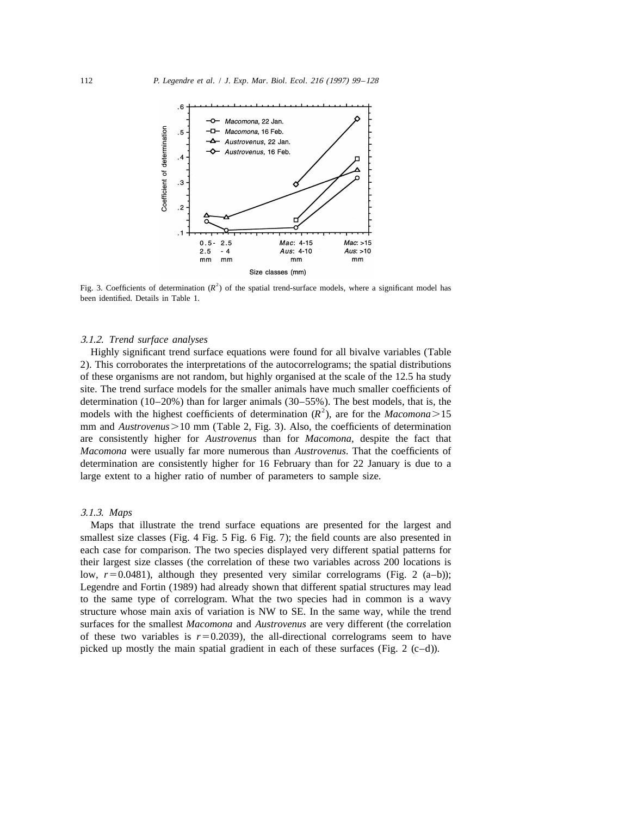

Fig. 3. Coefficients of determination  $(R^2)$  of the spatial trend-surface models, where a significant model has been identified. Details in Table 1.

## 3.1.2. *Trend surface analyses*

Highly significant trend surface equations were found for all bivalve variables (Table 2). This corroborates the interpretations of the autocorrelograms; the spatial distributions of these organisms are not random, but highly organised at the scale of the 12.5 ha study site. The trend surface models for the smaller animals have much smaller coefficients of determination (10–20%) than for larger animals (30–55%). The best models, that is, the models with the highest coefficients of determination ( $R^2$ ), are for the *Macomona*>15 mm and *Austrovenus* > 10 mm (Table 2, Fig. 3). Also, the coefficients of determination are consistently higher for *Austrovenus* than for *Macomona*, despite the fact that *Macomona* were usually far more numerous than *Austrovenus*. That the coefficients of determination are consistently higher for 16 February than for 22 January is due to a large extent to a higher ratio of number of parameters to sample size.

#### 3.1.3. *Maps*

Maps that illustrate the trend surface equations are presented for the largest and smallest size classes (Fig. 4 Fig. 5 Fig. 6 Fig. 7); the field counts are also presented in each case for comparison. The two species displayed very different spatial patterns for their largest size classes (the correlation of these two variables across 200 locations is low,  $r=0.0481$ ), although they presented very similar correlograms (Fig. 2  $(a-b)$ ); Legendre and Fortin (1989) had already shown that different spatial structures may lead to the same type of correlogram. What the two species had in common is a wavy structure whose main axis of variation is NW to SE. In the same way, while the trend surfaces for the smallest *Macomona* and *Austrovenus* are very different (the correlation of these two variables is  $r=0.2039$ ), the all-directional correlograms seem to have picked up mostly the main spatial gradient in each of these surfaces (Fig. 2 (c–d)).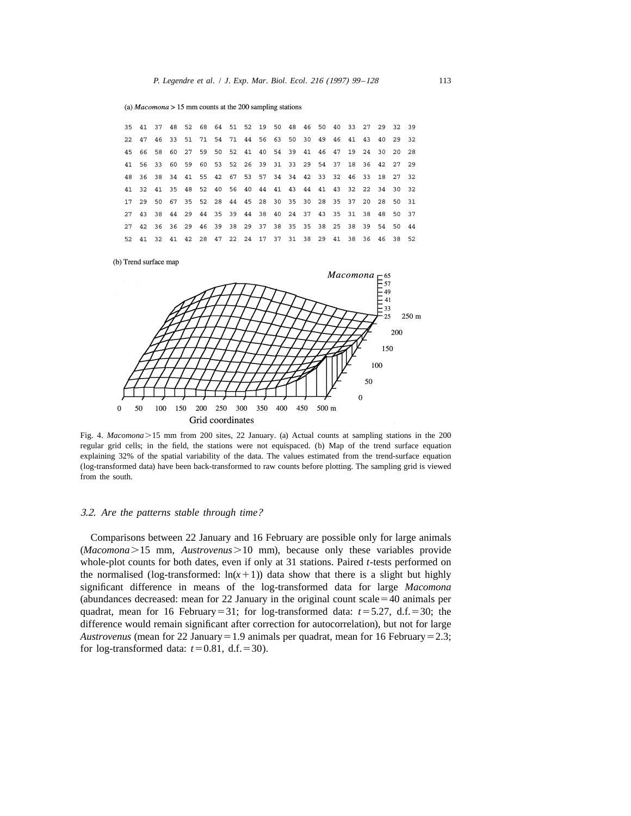|  |  |  |  |  |  |  |  |  | 35 41 37 48 52 68 64 51 52 19 50 48 46 50 40 33 27 29 32 39 |  |
|--|--|--|--|--|--|--|--|--|-------------------------------------------------------------|--|
|  |  |  |  |  |  |  |  |  | 22 47 46 33 51 71 54 71 44 56 63 50 30 49 46 41 43 40 29 32 |  |
|  |  |  |  |  |  |  |  |  | 45 66 58 60 27 59 50 52 41 40 54 39 41 46 47 19 24 30 20 28 |  |
|  |  |  |  |  |  |  |  |  | 41 56 33 60 59 60 53 52 26 39 31 33 29 54 37 18 36 42 27 29 |  |
|  |  |  |  |  |  |  |  |  | 48 36 38 34 41 55 42 67 53 57 34 34 42 33 32 46 33 18 27 32 |  |
|  |  |  |  |  |  |  |  |  | 41 32 41 35 48 52 40 56 40 44 41 43 44 41 43 32 22 34 30 32 |  |
|  |  |  |  |  |  |  |  |  | 17 29 50 67 35 52 28 44 45 28 30 35 30 28 35 37 20 28 50 31 |  |
|  |  |  |  |  |  |  |  |  | 27 43 38 44 29 44 35 39 44 38 40 24 37 43 35 31 38 48 50 37 |  |
|  |  |  |  |  |  |  |  |  | 27 42 36 36 29 46 39 38 29 37 38 35 35 38 25 38 39 54 50 44 |  |
|  |  |  |  |  |  |  |  |  | 52 41 32 41 42 28 47 22 24 17 37 31 38 29 41 38 36 46 38 52 |  |

#### (a)  $Macomona > 15$  mm counts at the 200 sampling stations





Fig. 4. *Macomona* > 15 mm from 200 sites, 22 January. (a) Actual counts at sampling stations in the 200 regular grid cells; in the field, the stations were not equispaced. (b) Map of the trend surface equation explaining 32% of the spatial variability of the data. The values estimated from the trend-surface equation (log-transformed data) have been back-transformed to raw counts before plotting. The sampling grid is viewed from the south.

#### 3.2. *Are the patterns stable through time*?

Comparisons between 22 January and 16 February are possible only for large animals (*Macomona* > 15 mm, *Austrovenus* > 10 mm), because only these variables provide whole-plot counts for both dates, even if only at 31 stations. Paired *t*-tests performed on the normalised (log-transformed:  $ln(x+1)$ ) data show that there is a slight but highly significant difference in means of the log-transformed data for large *Macomona* (abundances decreased: mean for 22 January in the original count scale  $=40$  animals per quadrat, mean for 16 February = 31; for log-transformed data:  $t = 5.27$ , d.f. = 30; the difference would remain significant after correction for autocorrelation), but not for large *Austrovenus* (mean for 22 January = 1.9 animals per quadrat, mean for 16 February = 2.3; for log-transformed data:  $t=0.81$ , d.f. = 30).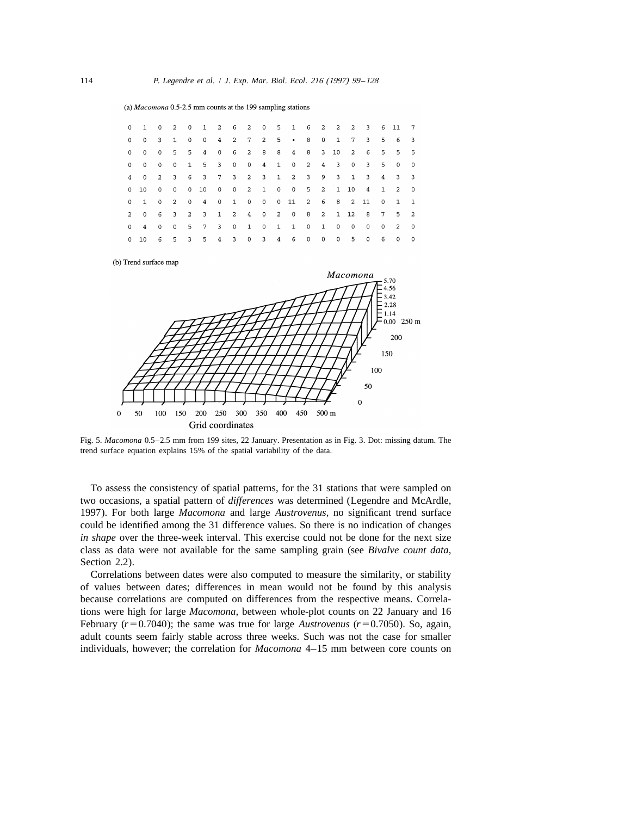|                | $0 \quad 1 \quad 0$                      |                          |                          |                          | 2 0 1 2 6 2 0 5 1 6 2 2 2 3 6 11 7     |  |  |  |  |  |  |                |                |
|----------------|------------------------------------------|--------------------------|--------------------------|--------------------------|----------------------------------------|--|--|--|--|--|--|----------------|----------------|
| $\mathbf{0}$   |                                          | $0 \quad 3$              | $\overline{1}$           | $\overline{0}$           | 0 4 2 7 2 5 • 8 0 1 7 3 5 6 3          |  |  |  |  |  |  |                |                |
| $^{\circ}$     |                                          |                          |                          |                          | 0 0 5 5 4 0 6 2 8 8 4 8 3 10 2 6 5 5 5 |  |  |  |  |  |  |                |                |
| $^{\circ}$     |                                          | $0\quad 0\quad 0$        |                          | $\mathbf{1}$             | 5 3 0 0 4 1 0 2 4 3 0 3 5 0            |  |  |  |  |  |  |                | $\overline{0}$ |
| $\overline{4}$ | $\overline{0}$                           |                          |                          |                          | 2 3 6 3 7 3 2 3 1 2 3 9 3 1 3 4 3 3    |  |  |  |  |  |  |                |                |
|                | $0\quad 10$                              | $\overline{\phantom{0}}$ | $\overline{\phantom{0}}$ |                          | 0 10 0 0 2 1 0 0 5 2 1 10 4 1 2 0      |  |  |  |  |  |  |                |                |
|                | $0 \quad 1 \quad 0$                      |                          | $\overline{2}$           | $\overline{\phantom{0}}$ | 4 0 1 0 0 0 11 2 6 8 2 11 0 1 1        |  |  |  |  |  |  |                |                |
|                | 2 0 6 3 2 3 1 2 4 0 2 0 8 2 1 12 8 7 5 2 |                          |                          |                          |                                        |  |  |  |  |  |  |                |                |
| $\mathbf{0}$   |                                          | 4 0 0                    |                          |                          | 5 7 3 0 1 0 1 1 0 1 0 0 0 0 2 0        |  |  |  |  |  |  |                |                |
|                | 0 10                                     |                          |                          |                          | 6 5 3 5 4 3 0 3 4 6 0 0 0 5 0 6        |  |  |  |  |  |  | $\overline{0}$ | $^{\circ}$     |

(a)  $Macomona$  0.5-2.5 mm counts at the 199 sampling stations

(b) Trend surface map



Fig. 5. *Macomona* 0.5–2.5 mm from 199 sites, 22 January. Presentation as in Fig. 3. Dot: missing datum. The trend surface equation explains 15% of the spatial variability of the data.

To assess the consistency of spatial patterns, for the 31 stations that were sampled on two occasions, a spatial pattern of *differences* was determined (Legendre and McArdle, 1997). For both large *Macomona* and large *Austrovenus*, no significant trend surface could be identified among the 31 difference values. So there is no indication of changes *in shape* over the three-week interval. This exercise could not be done for the next size class as data were not available for the same sampling grain (see *Bivalve count data*, Section 2.2).

Correlations between dates were also computed to measure the similarity, or stability of values between dates; differences in mean would not be found by this analysis because correlations are computed on differences from the respective means. Correlations were high for large *Macomona*, between whole-plot counts on 22 January and 16 February  $(r=0.7040)$ ; the same was true for large *Austrovenus*  $(r=0.7050)$ . So, again, adult counts seem fairly stable across three weeks. Such was not the case for smaller individuals, however; the correlation for *Macomona* 4–15 mm between core counts on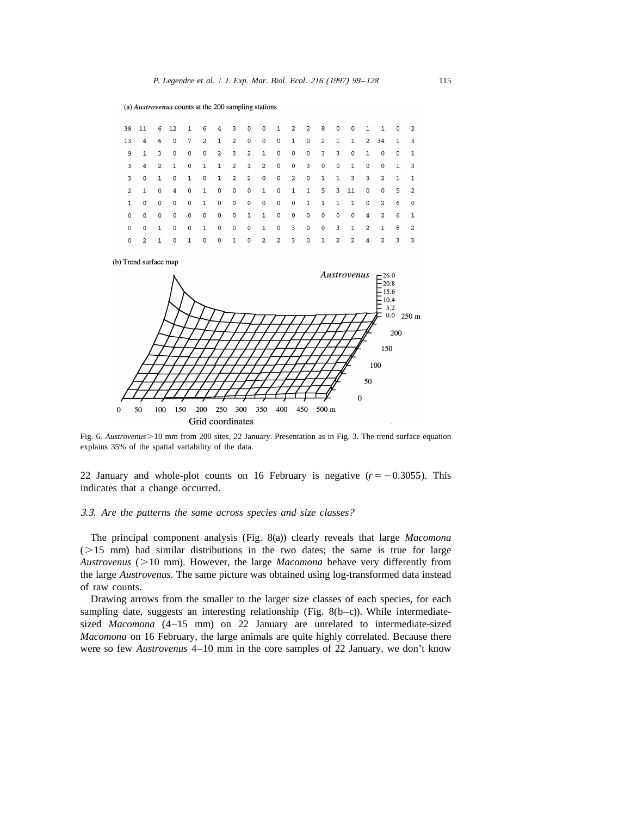

(a) *Austrovenus* counts at the 200 sampling stations

(b) Trend surface map



Fig. 6. *Austrovenus* > 10 mm from 200 sites, 22 January. Presentation as in Fig. 3. The trend surface equation explains 35% of the spatial variability of the data.

22 January and whole-plot counts on 16 February is negative  $(r=-0.3055)$ . This indicates that a change occurred.

#### 3.3. *Are the patterns the same across species and size classes*?

The principal component analysis (Fig. 8(a)) clearly reveals that large *Macomona*  $(>15$  mm) had similar distributions in the two dates; the same is true for large Austrovenus (>10 mm). However, the large *Macomona* behave very differently from the large *Austrovenus*. The same picture was obtained using log-transformed data instead of raw counts.

Drawing arrows from the smaller to the larger size classes of each species, for each sampling date, suggests an interesting relationship (Fig.  $8(b-c)$ ). While intermediatesized *Macomona* (4–15 mm) on 22 January are unrelated to intermediate-sized *Macomona* on 16 February, the large animals are quite highly correlated. Because there were so few *Austrovenus* 4–10 mm in the core samples of 22 January, we don't know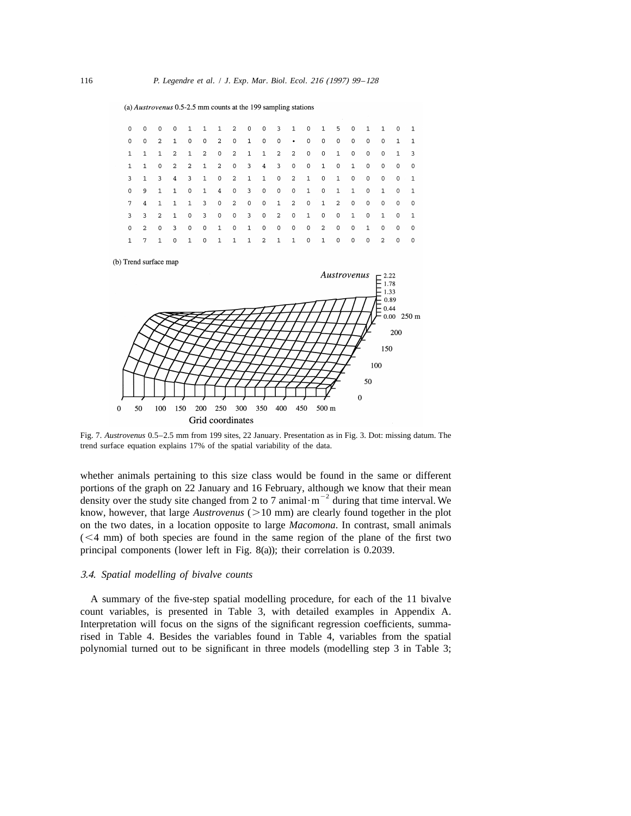

(a) *Austrovenus* 0.5-2.5 mm counts at the 199 sampling stations

(b) Trend surface map



Fig. 7. *Austrovenus* 0.5–2.5 mm from 199 sites, 22 January. Presentation as in Fig. 3. Dot: missing datum. The trend surface equation explains 17% of the spatial variability of the data.

whether animals pertaining to this size class would be found in the same or different portions of the graph on 22 January and 16 February, although we know that their mean density over the study site changed from 2 to 7 animal  $\text{m}^{-2}$  during that time interval. We know, however, that large *Austrovenus* ( $>10$  mm) are clearly found together in the plot on the two dates, in a location opposite to large *Macomona*. In contrast, small animals  $( $4 \text{ mm}$ )$  of both species are found in the same region of the plane of the first two principal components (lower left in Fig. 8(a)); their correlation is 0.2039.

## 3.4. *Spatial modelling of bivalve counts*

A summary of the five-step spatial modelling procedure, for each of the 11 bivalve count variables, is presented in Table 3, with detailed examples in Appendix A. Interpretation will focus on the signs of the significant regression coefficients, summarised in Table 4. Besides the variables found in Table 4, variables from the spatial polynomial turned out to be significant in three models (modelling step 3 in Table 3;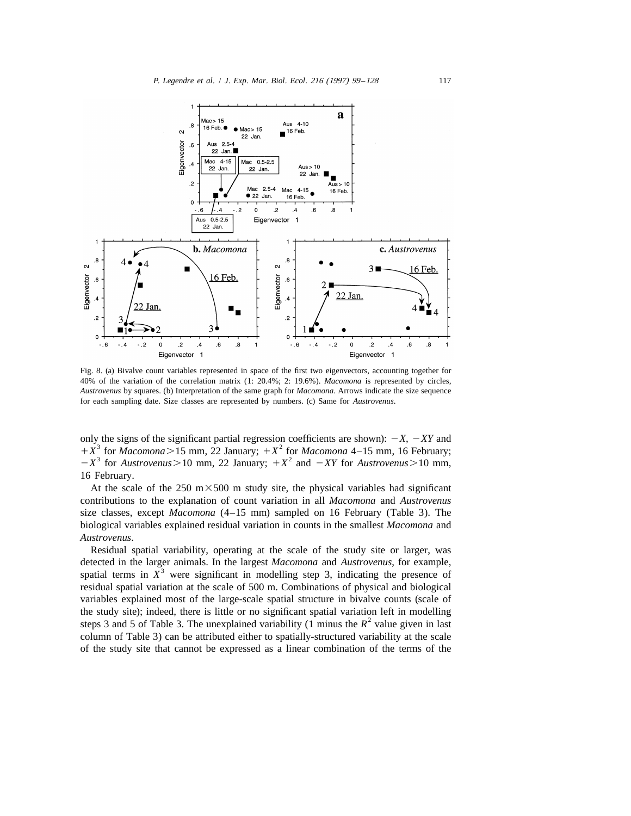

Fig. 8. (a) Bivalve count variables represented in space of the first two eigenvectors, accounting together for 40% of the variation of the correlation matrix (1: 20.4%; 2: 19.6%). *Macomona* is represented by circles, *Austrovenus* by squares. (b) Interpretation of the same graph for *Macomona*. Arrows indicate the size sequence for each sampling date. Size classes are represented by numbers. (c) Same for *Austrovenus*.

only the signs of the significant partial regression coefficients are shown):  $-X$ ,  $-XY$  and  $+X^3$  for *Macomona* > 15 mm, 22 January;  $+X^2$  for *Macomona* 4–15 mm, 16 February;  $-X^3$  for *Austrovenus* > 10 mm, 22 Januar 16 February.

At the scale of the 250 m $\times$ 500 m study site, the physical variables had significant contributions to the explanation of count variation in all *Macomona* and *Austrovenus* size classes, except *Macomona* (4–15 mm) sampled on 16 February (Table 3). The biological variables explained residual variation in counts in the smallest *Macomona* and *Austrovenus*.

Residual spatial variability, operating at the scale of the study site or larger, was detected in the larger animals. In the largest *Macomona* and *Austrovenus*, for example, spatial terms in  $X<sup>3</sup>$  were significant in modelling step 3, indicating the presence of residual spatial variation at the scale of 500 m. Combinations of physical and biological variables explained most of the large-scale spatial structure in bivalve counts (scale of the study site); indeed, there is little or no significant spatial variation left in modelling steps 3 and 5 of Table 3. The unexplained variability (1 minus the  $R<sup>2</sup>$  value given in last column of Table 3) can be attributed either to spatially-structured variability at the scale of the study site that cannot be expressed as a linear combination of the terms of the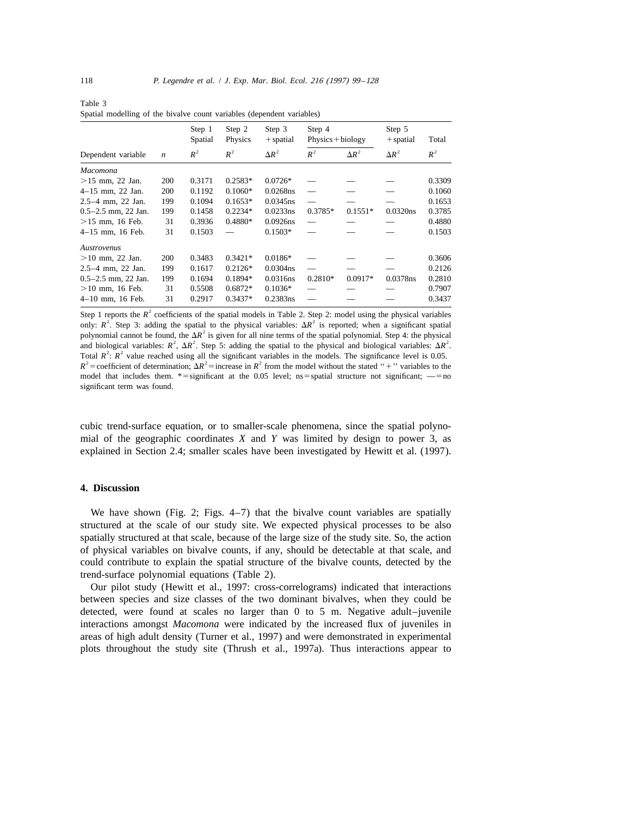|                          |                  | Step 1<br>Spatial | Step 2<br>Physics | Step 3<br>$+$ spatial | Step 4<br>$Physics + biology$ |              | Step 5<br>$+$ spatial | Total<br>$R^2$ |  |
|--------------------------|------------------|-------------------|-------------------|-----------------------|-------------------------------|--------------|-----------------------|----------------|--|
| Dependent variable       | $\boldsymbol{n}$ | $R^2$             | $R^2$             | $\Delta R^2$          | $R^2$                         | $\Delta R^2$ | $\Delta R^2$          |                |  |
| Macomona                 |                  |                   |                   |                       |                               |              |                       |                |  |
| $>15$ mm, 22 Jan.        | 200              | 0.3171            | $0.2583*$         | $0.0726*$             |                               |              |                       | 0.3309         |  |
| $4-15$ mm, 22 Jan.       | 200              | 0.1192            | $0.1060*$         | $0.0268$ ns           |                               |              |                       | 0.1060         |  |
| $2.5-4$ mm, 22 Jan.      | 199              | 0.1094            | $0.1653*$         | 0.0345ns              |                               |              |                       | 0.1653         |  |
| $0.5 - 2.5$ mm, 22 Jan.  | 199              | 0.1458            | $0.2234*$         | 0.0233ns              | $0.3785*$                     | $0.1551*$    | 0.0320ns              | 0.3785         |  |
| $>15$ mm. 16 Feb.        | 31               | 0.3936            | $0.4880*$         | $0.0926$ ns           |                               |              |                       | 0.4880         |  |
| $4-15$ mm, 16 Feb.       | 31               | 0.1503            |                   | $0.1503*$             |                               |              |                       | 0.1503         |  |
| Austrovenus              |                  |                   |                   |                       |                               |              |                       |                |  |
| $>10$ mm, 22 Jan.        | 200              | 0.3483            | $0.3421*$         | $0.0186*$             |                               |              |                       | 0.3606         |  |
| $2.5 - 4$ mm, 22 Jan.    | 199              | 0.1617            | $0.2126*$         | $0.0304$ ns           |                               |              |                       | 0.2126         |  |
| $0.5 - 2.5$ mm, 22 Jan.  | 199              | 0.1694            | $0.1894*$         | 0.0316ns              | $0.2810*$                     | $0.0917*$    | 0.0378ns              | 0.2810         |  |
| $>10$ mm, 16 Feb.        | 31               | 0.5508            | $0.6872*$         | $0.1036*$             |                               |              |                       | 0.7907         |  |
| 31<br>$4-10$ mm, 16 Feb. |                  | 0.2917            | $0.3437*$         | 0.2383ns              |                               |              |                       | 0.3437         |  |

Table 3 Spatial modelling of the bivalve count variables (dependent variables)

Step 1 reports the  $R^2$  coefficients of the spatial models in Table 2. Step 2: model using the physical variables only:  $R^2$ . Step 3: adding the spatial to the physical variables:  $\Delta R^2$  is reported; when a significant spatial polynomial cannot be found, the  $\Delta R^2$  is given for all nine terms of the spatial polynomial. Step 4: the physical and biological variables:  $R^2$ ,  $\Delta R^2$ . Step 5: adding the spatial to the physical and biological variables:  $\Delta R^2$ . Total  $R^2$ :  $R^2$  value reached using all the significant variables in the models. The significance level is 0.05.  $R^2$  = coefficient of determination;  $\Delta R^2$  = increase in  $R^2$  from the model without the stated "+" variables to the model that includes them. \*= significant at the 0.05 level; ns=spatial structure not significant; —= no significant term was found.

cubic trend-surface equation, or to smaller-scale phenomena, since the spatial polynomial of the geographic coordinates *X* and *Y* was limited by design to power 3, as explained in Section 2.4; smaller scales have been investigated by Hewitt et al. (1997).

## **4. Discussion**

We have shown (Fig. 2; Figs.  $4-7$ ) that the bivalve count variables are spatially structured at the scale of our study site. We expected physical processes to be also spatially structured at that scale, because of the large size of the study site. So, the action of physical variables on bivalve counts, if any, should be detectable at that scale, and could contribute to explain the spatial structure of the bivalve counts, detected by the trend-surface polynomial equations (Table 2).

Our pilot study (Hewitt et al., 1997: cross-correlograms) indicated that interactions between species and size classes of the two dominant bivalves, when they could be detected, were found at scales no larger than 0 to 5 m. Negative adult–juvenile interactions amongst *Macomona* were indicated by the increased flux of juveniles in areas of high adult density (Turner et al., 1997) and were demonstrated in experimental plots throughout the study site (Thrush et al., 1997a). Thus interactions appear to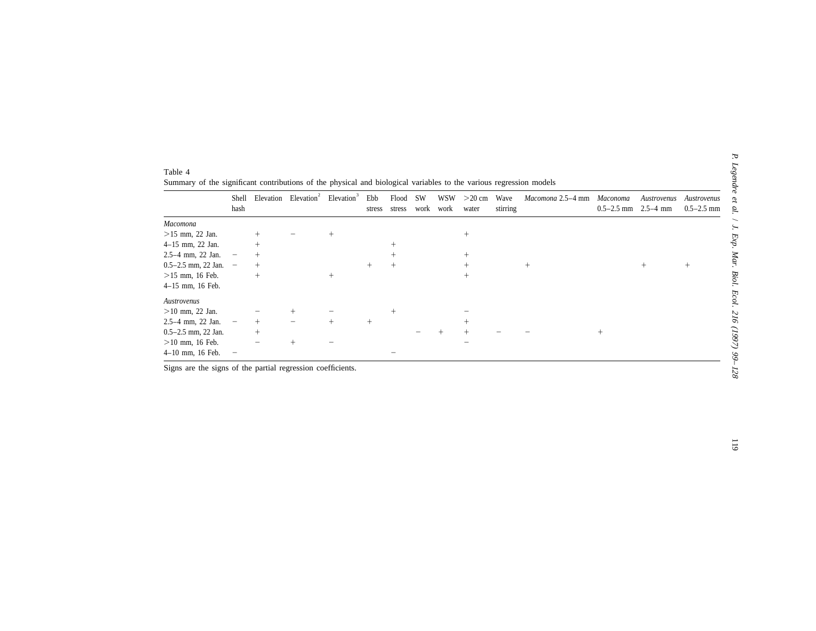|                             | Shell<br>hash                   | Elevation | $E$ levation <sup>2</sup> | Elevation <sup>3</sup> | Ebb<br>stress | Flood<br>stress | <b>SW</b><br>work | <b>WSW</b><br>work | $>20$ cm<br>water | Wave<br>stirring | Macomona 2.5-4 mm | Maconoma<br>$0.5 - 2.5$ mm $2.5 - 4$ mm | Austrovenus | Austrovenus<br>$0.5 - 2.5$ mm |
|-----------------------------|---------------------------------|-----------|---------------------------|------------------------|---------------|-----------------|-------------------|--------------------|-------------------|------------------|-------------------|-----------------------------------------|-------------|-------------------------------|
| Macomona                    |                                 |           |                           |                        |               |                 |                   |                    |                   |                  |                   |                                         |             |                               |
| $>15$ mm, 22 Jan.           |                                 | $^{+}$    |                           | $^{+}$                 |               |                 |                   |                    | $^{+}$            |                  |                   |                                         |             |                               |
| $4-15$ mm, 22 Jan.          |                                 | $^{+}$    |                           |                        |               | ÷               |                   |                    |                   |                  |                   |                                         |             |                               |
| $2.5-4$ mm, 22 Jan.         | $\overline{\phantom{a}}$        | $^{+}$    |                           |                        |               | $^{+}$          |                   |                    | $+$               |                  |                   |                                         |             |                               |
| $0.5 - 2.5$ mm, 22 Jan. $-$ |                                 |           |                           |                        |               | $^{+}$          |                   |                    | $^{+}$            |                  | $^{+}$            |                                         | $^{+}$      | $^{+}$                        |
| $>15$ mm, 16 Feb.           |                                 | $^{+}$    |                           | $^{+}$                 |               |                 |                   |                    | $^{+}$            |                  |                   |                                         |             |                               |
| $4-15$ mm, 16 Feb.          |                                 |           |                           |                        |               |                 |                   |                    |                   |                  |                   |                                         |             |                               |
| Austrovenus                 |                                 |           |                           |                        |               |                 |                   |                    |                   |                  |                   |                                         |             |                               |
| $>10$ mm, 22 Jan.           |                                 |           | $^{+}$                    |                        |               | $^{+}$          |                   |                    |                   |                  |                   |                                         |             |                               |
| $2.5-4$ mm, 22 Jan.         | $\hspace{0.1mm}-\hspace{0.1mm}$ |           | $\overline{\phantom{0}}$  | $^{+}$                 | $^{+}$        |                 |                   |                    | $^{+}$            |                  |                   |                                         |             |                               |
| $0.5 - 2.5$ mm, 22 Jan.     |                                 | $^{+}$    |                           |                        |               |                 |                   |                    |                   |                  |                   | $^{+}$                                  |             |                               |
| $>10$ mm, 16 Feb.           |                                 |           |                           |                        |               |                 |                   |                    |                   |                  |                   |                                         |             |                               |
| $4-10$ mm, 16 Feb.          |                                 |           |                           |                        |               |                 |                   |                    |                   |                  |                   |                                         |             |                               |

Table 4 Summary of the significant contributions of the physical and biological variables to the various regression models

Signs are the signs of the partial regression coefficients.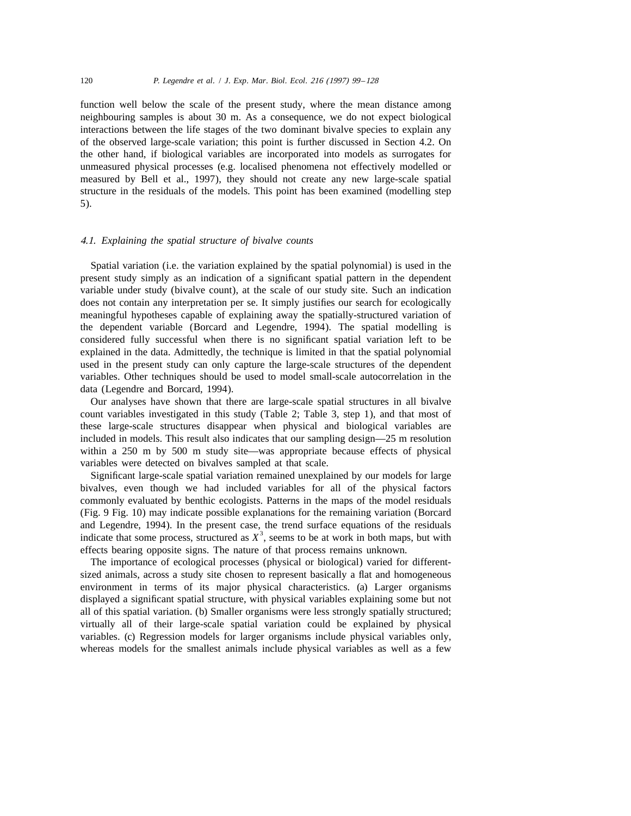function well below the scale of the present study, where the mean distance among neighbouring samples is about 30 m. As a consequence, we do not expect biological interactions between the life stages of the two dominant bivalve species to explain any of the observed large-scale variation; this point is further discussed in Section 4.2. On the other hand, if biological variables are incorporated into models as surrogates for unmeasured physical processes (e.g. localised phenomena not effectively modelled or measured by Bell et al., 1997), they should not create any new large-scale spatial structure in the residuals of the models. This point has been examined (modelling step 5).

## 4.1. *Explaining the spatial structure of bivalve counts*

Spatial variation (i.e. the variation explained by the spatial polynomial) is used in the present study simply as an indication of a significant spatial pattern in the dependent variable under study (bivalve count), at the scale of our study site. Such an indication does not contain any interpretation per se. It simply justifies our search for ecologically meaningful hypotheses capable of explaining away the spatially-structured variation of the dependent variable (Borcard and Legendre, 1994). The spatial modelling is considered fully successful when there is no significant spatial variation left to be explained in the data. Admittedly, the technique is limited in that the spatial polynomial used in the present study can only capture the large-scale structures of the dependent variables. Other techniques should be used to model small-scale autocorrelation in the data (Legendre and Borcard, 1994).

Our analyses have shown that there are large-scale spatial structures in all bivalve count variables investigated in this study (Table 2; Table 3, step 1), and that most of these large-scale structures disappear when physical and biological variables are included in models. This result also indicates that our sampling design—25 m resolution within a 250 m by 500 m study site—was appropriate because effects of physical variables were detected on bivalves sampled at that scale.

Significant large-scale spatial variation remained unexplained by our models for large bivalves, even though we had included variables for all of the physical factors commonly evaluated by benthic ecologists. Patterns in the maps of the model residuals (Fig. 9 Fig. 10) may indicate possible explanations for the remaining variation (Borcard and Legendre, 1994). In the present case, the trend surface equations of the residuals indicate that some process, structured as  $X^3$ , seems to be at work in both maps, but with effects bearing opposite signs. The nature of that process remains unknown.

The importance of ecological processes (physical or biological) varied for differentsized animals, across a study site chosen to represent basically a flat and homogeneous environment in terms of its major physical characteristics. (a) Larger organisms displayed a significant spatial structure, with physical variables explaining some but not all of this spatial variation. (b) Smaller organisms were less strongly spatially structured; virtually all of their large-scale spatial variation could be explained by physical variables. (c) Regression models for larger organisms include physical variables only, whereas models for the smallest animals include physical variables as well as a few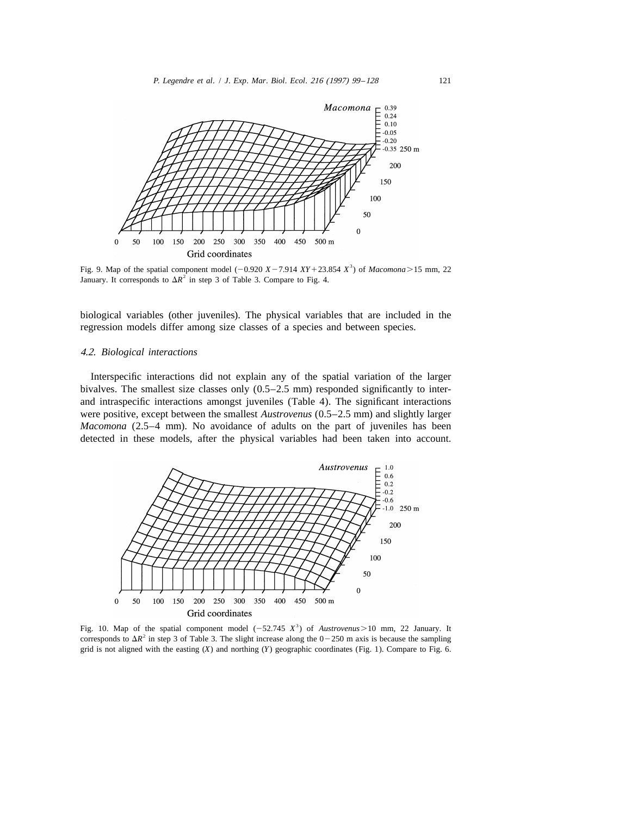

Fig. 9. Map of the spatial component model  $(-0.920 \text{ X}-7.914 \text{ XY}+23.854 \text{ X}^3)$  of *Macomona* $>15$  mm, 22 January. It corresponds to  $\Delta R^2$  in step 3 of Table 3. Compare to Fig. 4.

biological variables (other juveniles). The physical variables that are included in the regression models differ among size classes of a species and between species.

#### 4.2. *Biological interactions*

Interspecific interactions did not explain any of the spatial variation of the larger bivalves. The smallest size classes only (0.5–2.5 mm) responded significantly to interand intraspecific interactions amongst juveniles (Table 4). The significant interactions were positive, except between the smallest *Austrovenus* (0.5–2.5 mm) and slightly larger *Macomona* (2.5–4 mm). No avoidance of adults on the part of juveniles has been detected in these models, after the physical variables had been taken into account.



Fig. 10. Map of the spatial component model  $(-52.745 \text{ X}^3)$  of *Austrovenus* $>$ 10 mm, 22 January. It corresponds to  $\Delta R^2$  in step 3 of Table 3. The slight increase along the  $0-250$  m axis is because the sampling grid is not aligned with the easting (*X*) and northing (*Y*) geographic coordinates (Fig. 1). Compare to Fig. 6.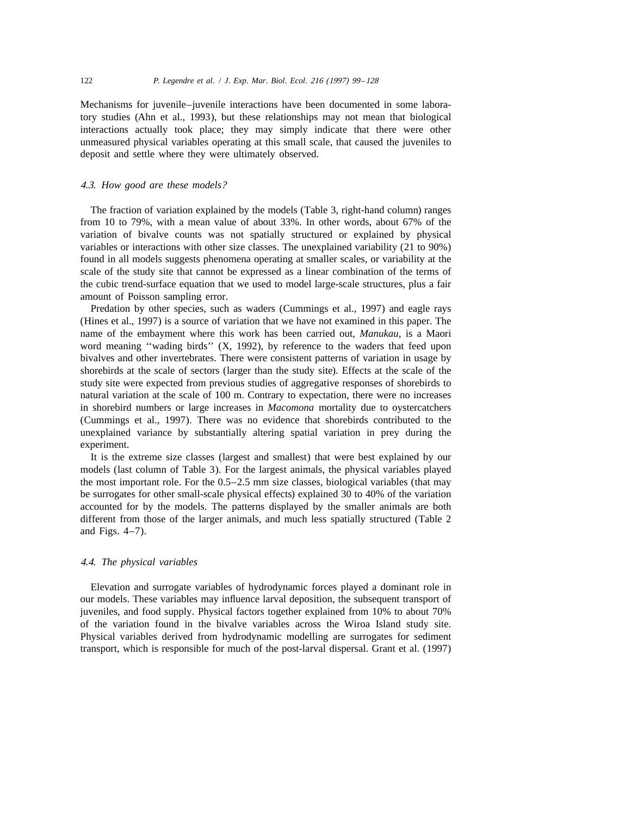Mechanisms for juvenile–juvenile interactions have been documented in some laboratory studies (Ahn et al., 1993), but these relationships may not mean that biological interactions actually took place; they may simply indicate that there were other unmeasured physical variables operating at this small scale, that caused the juveniles to deposit and settle where they were ultimately observed.

## 4.3. *How good are these models*?

The fraction of variation explained by the models (Table 3, right-hand column) ranges from 10 to 79%, with a mean value of about 33%. In other words, about 67% of the variation of bivalve counts was not spatially structured or explained by physical variables or interactions with other size classes. The unexplained variability (21 to 90%) found in all models suggests phenomena operating at smaller scales, or variability at the scale of the study site that cannot be expressed as a linear combination of the terms of the cubic trend-surface equation that we used to model large-scale structures, plus a fair amount of Poisson sampling error.

Predation by other species, such as waders (Cummings et al., 1997) and eagle rays (Hines et al., 1997) is a source of variation that we have not examined in this paper. The name of the embayment where this work has been carried out, *Manukau*, is a Maori word meaning ''wading birds'' (X, 1992), by reference to the waders that feed upon bivalves and other invertebrates. There were consistent patterns of variation in usage by shorebirds at the scale of sectors (larger than the study site). Effects at the scale of the study site were expected from previous studies of aggregative responses of shorebirds to natural variation at the scale of 100 m. Contrary to expectation, there were no increases in shorebird numbers or large increases in *Macomona* mortality due to oystercatchers (Cummings et al., 1997). There was no evidence that shorebirds contributed to the unexplained variance by substantially altering spatial variation in prey during the experiment.

It is the extreme size classes (largest and smallest) that were best explained by our models (last column of Table 3). For the largest animals, the physical variables played the most important role. For the  $0.5-2.5$  mm size classes, biological variables (that may be surrogates for other small-scale physical effects) explained 30 to 40% of the variation accounted for by the models. The patterns displayed by the smaller animals are both different from those of the larger animals, and much less spatially structured (Table 2 and Figs. 4–7).

## 4.4. *The physical variables*

Elevation and surrogate variables of hydrodynamic forces played a dominant role in our models. These variables may influence larval deposition, the subsequent transport of juveniles, and food supply. Physical factors together explained from 10% to about 70% of the variation found in the bivalve variables across the Wiroa Island study site. Physical variables derived from hydrodynamic modelling are surrogates for sediment transport, which is responsible for much of the post-larval dispersal. Grant et al. (1997)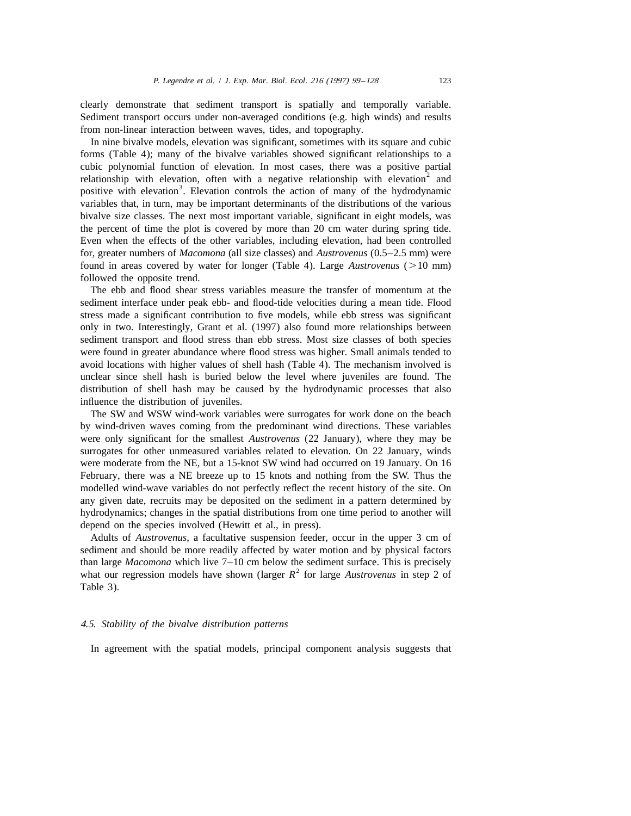clearly demonstrate that sediment transport is spatially and temporally variable. Sediment transport occurs under non-averaged conditions (e.g. high winds) and results from non-linear interaction between waves, tides, and topography.

In nine bivalve models, elevation was significant, sometimes with its square and cubic forms (Table 4); many of the bivalve variables showed significant relationships to a cubic polynomial function of elevation. In most cases, there was a positive partial<br>relationship with elevation, often with a negative relationship with elevation<sup>2</sup> and<br>positive with elevation<sup>3</sup>. Elevation controls the a variables that, in turn, may be important determinants of the distributions of the various bivalve size classes. The next most important variable, significant in eight models, was the percent of time the plot is covered by more than 20 cm water during spring tide. Even when the effects of the other variables, including elevation, had been controlled for, greater numbers of *Macomona* (all size classes) and *Austrovenus* (0.5–2.5 mm) were found in areas covered by water for longer (Table 4). Large *Austrovenus* ( $>10$  mm) followed the opposite trend.

The ebb and flood shear stress variables measure the transfer of momentum at the sediment interface under peak ebb- and flood-tide velocities during a mean tide. Flood stress made a significant contribution to five models, while ebb stress was significant only in two. Interestingly, Grant et al. (1997) also found more relationships between sediment transport and flood stress than ebb stress. Most size classes of both species were found in greater abundance where flood stress was higher. Small animals tended to avoid locations with higher values of shell hash (Table 4). The mechanism involved is unclear since shell hash is buried below the level where juveniles are found. The distribution of shell hash may be caused by the hydrodynamic processes that also influence the distribution of juveniles.

The SW and WSW wind-work variables were surrogates for work done on the beach by wind-driven waves coming from the predominant wind directions. These variables were only significant for the smallest *Austrovenus* (22 January), where they may be surrogates for other unmeasured variables related to elevation. On 22 January, winds were moderate from the NE, but a 15-knot SW wind had occurred on 19 January. On 16 February, there was a NE breeze up to 15 knots and nothing from the SW. Thus the modelled wind-wave variables do not perfectly reflect the recent history of the site. On any given date, recruits may be deposited on the sediment in a pattern determined by hydrodynamics; changes in the spatial distributions from one time period to another will depend on the species involved (Hewitt et al., in press).

Adults of *Austrovenus*, a facultative suspension feeder, occur in the upper 3 cm of sediment and should be more readily affected by water motion and by physical factors than large *Macomona* which live 7–10 cm below the sediment surface. This is precisely what our regression models have shown (larger  $R<sup>2</sup>$  for large *Austrovenus* in step 2 of Table 3).

#### 4.5. *Stability of the bivalve distribution patterns*

In agreement with the spatial models, principal component analysis suggests that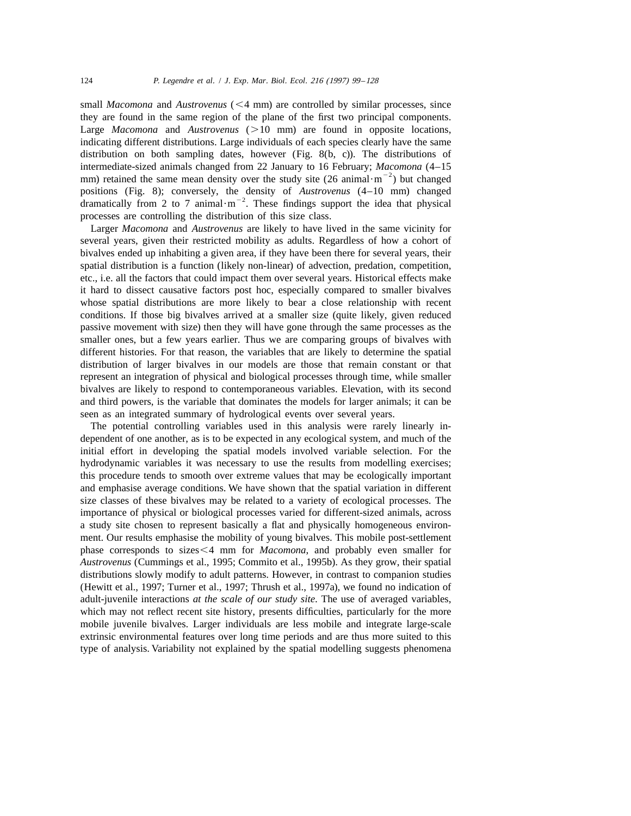small *Macomona* and *Austrovenus*  $(< 4$  mm) are controlled by similar processes, since they are found in the same region of the plane of the first two principal components. Large *Macomona* and *Austrovenus*  $(>10 \text{ mm})$  are found in opposite locations, indicating different distributions. Large individuals of each species clearly have the same distribution on both sampling dates, however (Fig. 8(b, c)). The distributions of intermediate-sized animals changed from 22 January to 16 February; *Macomona* (4–15 mm) retained the same mean density over the study site (26 animal $\cdot$ m<sup>-2</sup>) but changed positions (Fig. 8); conversely, the density of *Austrovenus* (4–10 mm) changed dramatically from 2 to 7 animal $\cdot$ m<sup>-2</sup>. These findings support the idea that physical processes are controlling the distribution of this size class.

Larger *Macomona* and *Austrovenus* are likely to have lived in the same vicinity for several years, given their restricted mobility as adults. Regardless of how a cohort of bivalves ended up inhabiting a given area, if they have been there for several years, their spatial distribution is a function (likely non-linear) of advection, predation, competition, etc., i.e. all the factors that could impact them over several years. Historical effects make it hard to dissect causative factors post hoc, especially compared to smaller bivalves whose spatial distributions are more likely to bear a close relationship with recent conditions. If those big bivalves arrived at a smaller size (quite likely, given reduced passive movement with size) then they will have gone through the same processes as the smaller ones, but a few years earlier. Thus we are comparing groups of bivalves with different histories. For that reason, the variables that are likely to determine the spatial distribution of larger bivalves in our models are those that remain constant or that represent an integration of physical and biological processes through time, while smaller bivalves are likely to respond to contemporaneous variables. Elevation, with its second and third powers, is the variable that dominates the models for larger animals; it can be seen as an integrated summary of hydrological events over several years.

The potential controlling variables used in this analysis were rarely linearly independent of one another, as is to be expected in any ecological system, and much of the initial effort in developing the spatial models involved variable selection. For the hydrodynamic variables it was necessary to use the results from modelling exercises; this procedure tends to smooth over extreme values that may be ecologically important and emphasise average conditions. We have shown that the spatial variation in different size classes of these bivalves may be related to a variety of ecological processes. The importance of physical or biological processes varied for different-sized animals, across a study site chosen to represent basically a flat and physically homogeneous environment. Our results emphasise the mobility of young bivalves. This mobile post-settlement phase corresponds to sizes<4 mm for *Macomona*, and probably even smaller for *Austrovenus* (Cummings et al., 1995; Commito et al., 1995b). As they grow, their spatial distributions slowly modify to adult patterns. However, in contrast to companion studies (Hewitt et al., 1997; Turner et al., 1997; Thrush et al., 1997a), we found no indication of adult-juvenile interactions *at the scale of our study site*. The use of averaged variables, which may not reflect recent site history, presents difficulties, particularly for the more mobile juvenile bivalves. Larger individuals are less mobile and integrate large-scale extrinsic environmental features over long time periods and are thus more suited to this type of analysis. Variability not explained by the spatial modelling suggests phenomena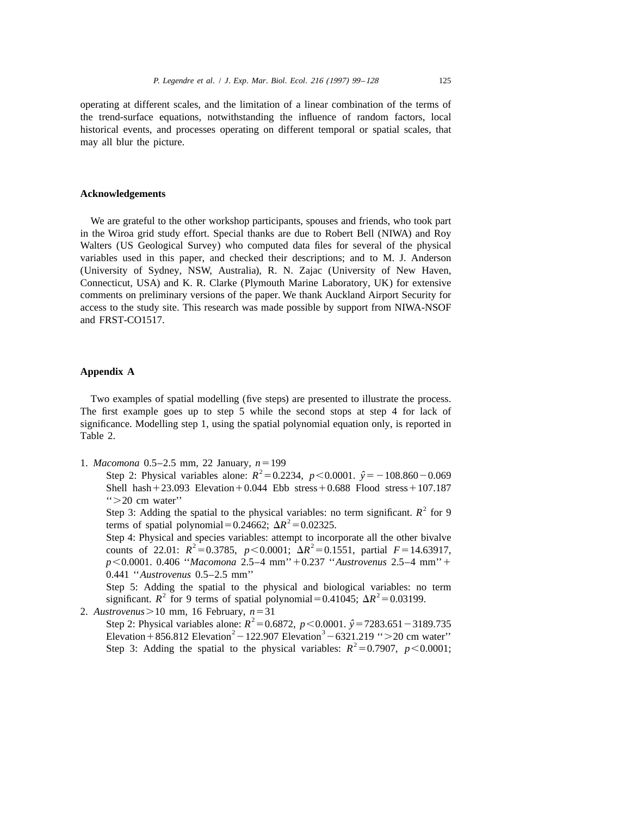operating at different scales, and the limitation of a linear combination of the terms of the trend-surface equations, notwithstanding the influence of random factors, local historical events, and processes operating on different temporal or spatial scales, that may all blur the picture.

## **Acknowledgements**

We are grateful to the other workshop participants, spouses and friends, who took part in the Wiroa grid study effort. Special thanks are due to Robert Bell (NIWA) and Roy Walters (US Geological Survey) who computed data files for several of the physical variables used in this paper, and checked their descriptions; and to M. J. Anderson (University of Sydney, NSW, Australia), R. N. Zajac (University of New Haven, Connecticut, USA) and K. R. Clarke (Plymouth Marine Laboratory, UK) for extensive comments on preliminary versions of the paper. We thank Auckland Airport Security for access to the study site. This research was made possible by support from NIWA-NSOF and FRST-CO1517.

## **Appendix A**

Two examples of spatial modelling (five steps) are presented to illustrate the process. The first example goes up to step 5 while the second stops at step 4 for lack of significance. Modelling step 1, using the spatial polynomial equation only, is reported in Table 2.

1. *Macomona* 0.5–2.5 mm, 22 January, *n*=199<br>Step 2: Physical variables alone:  $R^2 = 0.2234$ , *p*<0.0001.  $\hat{y} = -108.860 - 0.069$ Shell hash $+23.093$  Elevation $+0.044$  Ebb stress $+0.688$  Flood stress $+107.187$ 

">20 cm water" Step 3: Adding the spatial to the physical variables: no term significant. *R*<sup>2</sup> for 9 terms of spatial polynomial=0.24662;  $\Delta R^2$ =0.02325.

Step 4: Physical and species variables: attempt to incorporate all the other bivalve counts of 22.01:  $R^2 = 0.3785$ ,  $p < 0.0001$ ;  $\Delta R^2 = 0.1551$ , partial  $F = 14.63917$ . *p*<0.0001. 0.406 "*Macomona* 2.5–4 mm" + 0.237 "*Austrovenus* 2.5–4 mm" + 0.441 ''*Austrovenus* 0.5–2.5 mm''

Step 5: Adding the spatial to the physical and biological variables: no term significant. *R*<sup>2</sup> for 9 terms of spatial polynomial=0.41045;  $\Delta R$ <sup>2</sup>=0.03199.

2. Austrovenus > 10 mm, 16 February,  $n = 31$ <br>Step 2: Physical variables alone:  $R^2 = 0.6872$ ,  $p < 0.0001$ .  $\hat{y} = 7283.651 - 3189.735$ <br>Elevation + 856.812 Elevation<sup>2</sup> - 122.907 Elevation<sup>3</sup> - 6321.219 "> 20 cm water"<br>Ste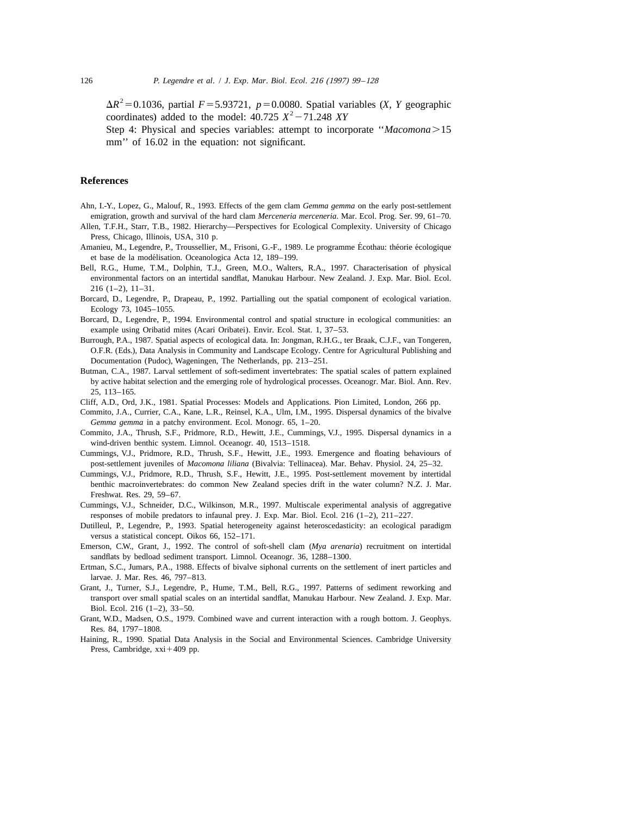$\Delta R^2$  = 0.1036, partial *F* = 5.93721, *p* = 0.0080. Spatial variables (*X*, *Y* geographic coordinates) added to the model: 40.725 *X*<sup>2</sup> - 71.248 *XY* 

Step 4: Physical and species variables: attempt to incorporate "*Macomona*>15 mm" of 16.02 in the equation: not significant.

#### **References**

- Ahn, I.-Y., Lopez, G., Malouf, R., 1993. Effects of the gem clam *Gemma gemma* on the early post-settlement emigration, growth and survival of the hard clam *Merceneria merceneria*. Mar. Ecol. Prog. Ser. 99, 61–70.
- Allen, T.F.H., Starr, T.B., 1982. Hierarchy—Perspectives for Ecological Complexity. University of Chicago Press, Chicago, Illinois, USA, 310 p.
- Amanieu, M., Legendre, P., Troussellier, M., Frisoni, G.-F., 1989. Le programme Écothau: théorie écologique et base de la modelisation. Oceanologica Acta 12, 189–199. ´
- Bell, R.G., Hume, T.M., Dolphin, T.J., Green, M.O., Walters, R.A., 1997. Characterisation of physical environmental factors on an intertidal sandflat, Manukau Harbour. New Zealand. J. Exp. Mar. Biol. Ecol. 216 (1–2), 11–31.
- Borcard, D., Legendre, P., Drapeau, P., 1992. Partialling out the spatial component of ecological variation. Ecology 73, 1045–1055.
- Borcard, D., Legendre, P., 1994. Environmental control and spatial structure in ecological communities: an example using Oribatid mites (Acari Oribatei). Envir. Ecol. Stat. 1, 37–53.
- Burrough, P.A., 1987. Spatial aspects of ecological data. In: Jongman, R.H.G., ter Braak, C.J.F., van Tongeren, O.F.R. (Eds.), Data Analysis in Community and Landscape Ecology. Centre for Agricultural Publishing and Documentation (Pudoc), Wageningen, The Netherlands, pp. 213–251.
- Butman, C.A., 1987. Larval settlement of soft-sediment invertebrates: The spatial scales of pattern explained by active habitat selection and the emerging role of hydrological processes. Oceanogr. Mar. Biol. Ann. Rev. 25, 113–165.
- Cliff, A.D., Ord, J.K., 1981. Spatial Processes: Models and Applications. Pion Limited, London, 266 pp.
- Commito, J.A., Currier, C.A., Kane, L.R., Reinsel, K.A., Ulm, I.M., 1995. Dispersal dynamics of the bivalve *Gemma gemma* in a patchy environment. Ecol. Monogr. 65, 1–20.
- Commito, J.A., Thrush, S.F., Pridmore, R.D., Hewitt, J.E., Cummings, V.J., 1995. Dispersal dynamics in a wind-driven benthic system. Limnol. Oceanogr. 40, 1513–1518.
- Cummings, V.J., Pridmore, R.D., Thrush, S.F., Hewitt, J.E., 1993. Emergence and floating behaviours of post-settlement juveniles of *Macomona liliana* (Bivalvia: Tellinacea). Mar. Behav. Physiol. 24, 25–32.
- Cummings, V.J., Pridmore, R.D., Thrush, S.F., Hewitt, J.E., 1995. Post-settlement movement by intertidal benthic macroinvertebrates: do common New Zealand species drift in the water column? N.Z. J. Mar. Freshwat. Res. 29, 59–67.
- Cummings, V.J., Schneider, D.C., Wilkinson, M.R., 1997. Multiscale experimental analysis of aggregative responses of mobile predators to infaunal prey. J. Exp. Mar. Biol. Ecol. 216 (1–2), 211–227.
- Dutilleul, P., Legendre, P., 1993. Spatial heterogeneity against heteroscedasticity: an ecological paradigm versus a statistical concept. Oikos 66, 152–171.
- Emerson, C.W., Grant, J., 1992. The control of soft-shell clam (*Mya arenaria*) recruitment on intertidal sandflats by bedload sediment transport. Limnol. Oceanogr. 36, 1288–1300.
- Ertman, S.C., Jumars, P.A., 1988. Effects of bivalve siphonal currents on the settlement of inert particles and larvae. J. Mar. Res. 46, 797–813.
- Grant, J., Turner, S.J., Legendre, P., Hume, T.M., Bell, R.G., 1997. Patterns of sediment reworking and transport over small spatial scales on an intertidal sandflat, Manukau Harbour. New Zealand. J. Exp. Mar. Biol. Ecol. 216 (1–2), 33–50.
- Grant, W.D., Madsen, O.S., 1979. Combined wave and current interaction with a rough bottom. J. Geophys. Res. 84, 1797–1808.
- Haining, R., 1990. Spatial Data Analysis in the Social and Environmental Sciences. Cambridge University Press, Cambridge,  $xxi + 409$  pp.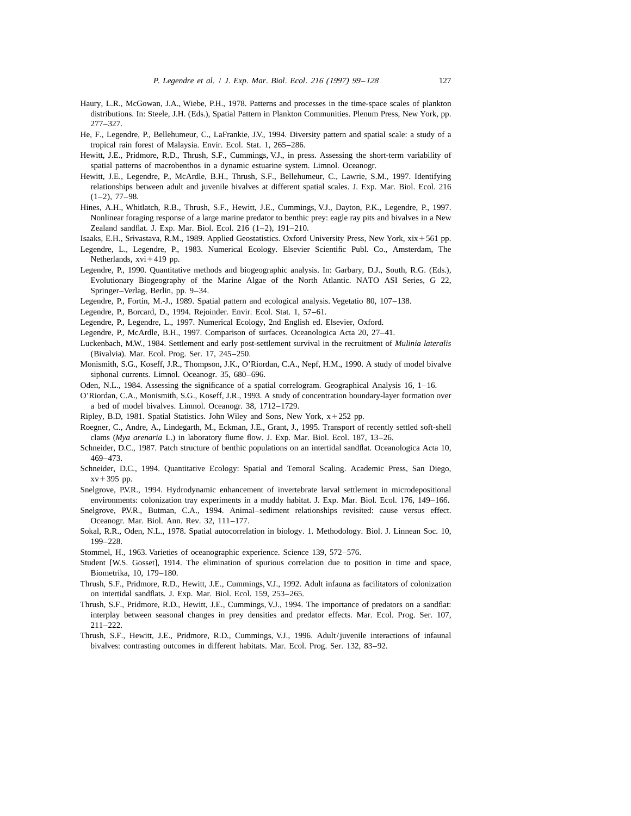- Haury, L.R., McGowan, J.A., Wiebe, P.H., 1978. Patterns and processes in the time-space scales of plankton distributions. In: Steele, J.H. (Eds.), Spatial Pattern in Plankton Communities. Plenum Press, New York, pp. 277–327.
- He, F., Legendre, P., Bellehumeur, C., LaFrankie, J.V., 1994. Diversity pattern and spatial scale: a study of a tropical rain forest of Malaysia. Envir. Ecol. Stat. 1, 265–286.
- Hewitt, J.E., Pridmore, R.D., Thrush, S.F., Cummings, V.J., in press. Assessing the short-term variability of spatial patterns of macrobenthos in a dynamic estuarine system. Limnol. Oceanogr.
- Hewitt, J.E., Legendre, P., McArdle, B.H., Thrush, S.F., Bellehumeur, C., Lawrie, S.M., 1997. Identifying relationships between adult and juvenile bivalves at different spatial scales. J. Exp. Mar. Biol. Ecol. 216  $(1-2)$ , 77-98.
- Hines, A.H., Whitlatch, R.B., Thrush, S.F., Hewitt, J.E., Cummings, V.J., Dayton, P.K., Legendre, P., 1997. Nonlinear foraging response of a large marine predator to benthic prey: eagle ray pits and bivalves in a New Zealand sandflat. J. Exp. Mar. Biol. Ecol. 216 (1–2), 191–210.
- Isaaks, E.H., Srivastava, R.M., 1989. Applied Geostatistics. Oxford University Press, New York, xix+561 pp.
- Legendre, L., Legendre, P., 1983. Numerical Ecology. Elsevier Scientific Publ. Co., Amsterdam, The Netherlands,  $xvi + 419$  pp.
- Legendre, P., 1990. Quantitative methods and biogeographic analysis. In: Garbary, D.J., South, R.G. (Eds.), Evolutionary Biogeography of the Marine Algae of the North Atlantic. NATO ASI Series, G 22, Springer–Verlag, Berlin, pp. 9–34.
- Legendre, P., Fortin, M.-J., 1989. Spatial pattern and ecological analysis. Vegetatio 80, 107–138.
- Legendre, P., Borcard, D., 1994. Rejoinder. Envir. Ecol. Stat. 1, 57–61.
- Legendre, P., Legendre, L., 1997. Numerical Ecology, 2nd English ed. Elsevier, Oxford.
- Legendre, P., McArdle, B.H., 1997. Comparison of surfaces. Oceanologica Acta 20, 27–41.
- Luckenbach, M.W., 1984. Settlement and early post-settlement survival in the recruitment of *Mulinia lateralis* (Bivalvia). Mar. Ecol. Prog. Ser. 17, 245–250.
- Monismith, S.G., Koseff, J.R., Thompson, J.K., O'Riordan, C.A., Nepf, H.M., 1990. A study of model bivalve siphonal currents. Limnol. Oceanogr. 35, 680–696.
- Oden, N.L., 1984. Assessing the significance of a spatial correlogram. Geographical Analysis 16, 1–16.
- O'Riordan, C.A., Monismith, S.G., Koseff, J.R., 1993. A study of concentration boundary-layer formation over a bed of model bivalves. Limnol. Oceanogr. 38, 1712–1729.
- Ripley, B.D, 1981. Spatial Statistics. John Wiley and Sons, New York,  $x+252$  pp.
- Roegner, C., Andre, A., Lindegarth, M., Eckman, J.E., Grant, J., 1995. Transport of recently settled soft-shell clams (*Mya arenaria* L.) in laboratory flume flow. J. Exp. Mar. Biol. Ecol. 187, 13–26.
- Schneider, D.C., 1987. Patch structure of benthic populations on an intertidal sandflat. Oceanologica Acta 10, 469–473.
- Schneider, D.C., 1994. Quantitative Ecology: Spatial and Temoral Scaling. Academic Press, San Diego,  $xy + 395$  pp.
- Snelgrove, P.V.R., 1994. Hydrodynamic enhancement of invertebrate larval settlement in microdepositional environments: colonization tray experiments in a muddy habitat. J. Exp. Mar. Biol. Ecol. 176, 149–166.
- Snelgrove, P.V.R., Butman, C.A., 1994. Animal-sediment relationships revisited: cause versus effect. Oceanogr. Mar. Biol. Ann. Rev. 32, 111–177.
- Sokal, R.R., Oden, N.L., 1978. Spatial autocorrelation in biology. 1. Methodology. Biol. J. Linnean Soc. 10, 199–228.
- Stommel, H., 1963. Varieties of oceanographic experience. Science 139, 572–576.
- Student [W.S. Gosset], 1914. The elimination of spurious correlation due to position in time and space, Biometrika, 10, 179–180.
- Thrush, S.F., Pridmore, R.D., Hewitt, J.E., Cummings, V.J., 1992. Adult infauna as facilitators of colonization on intertidal sandflats. J. Exp. Mar. Biol. Ecol. 159, 253–265.
- Thrush, S.F., Pridmore, R.D., Hewitt, J.E., Cummings, V.J., 1994. The importance of predators on a sandflat: interplay between seasonal changes in prey densities and predator effects. Mar. Ecol. Prog. Ser. 107, 211–222.
- Thrush, S.F., Hewitt, J.E., Pridmore, R.D., Cummings, V.J., 1996. Adult/juvenile interactions of infaunal bivalves: contrasting outcomes in different habitats. Mar. Ecol. Prog. Ser. 132, 83–92.